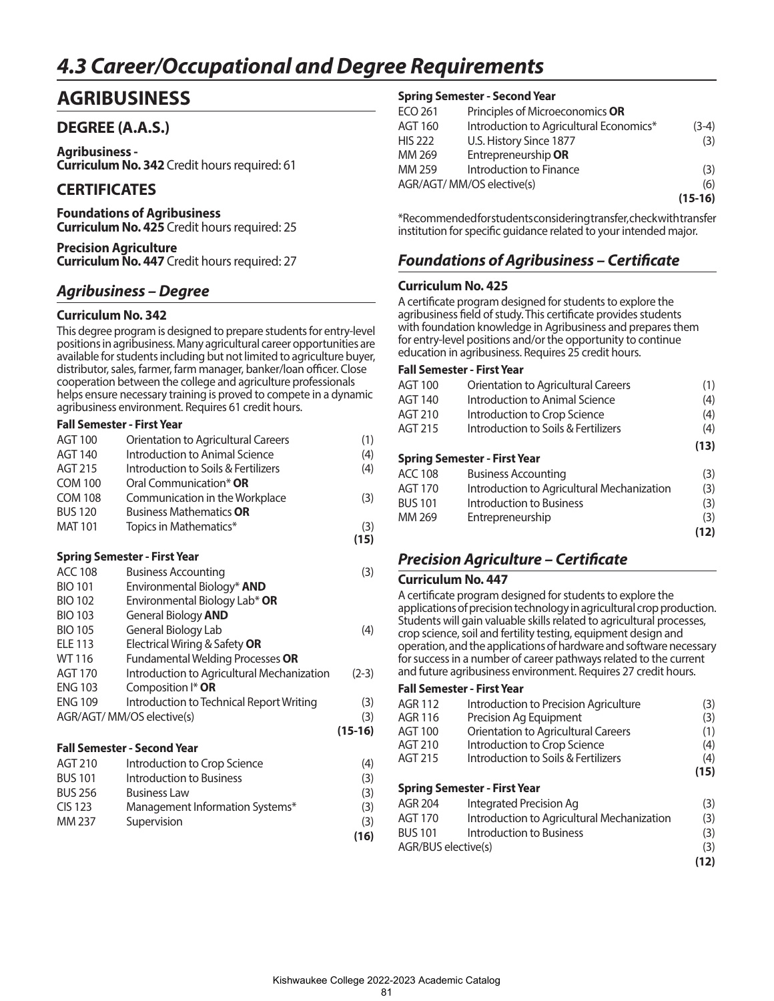# *4.3 Career/Occupational and Degree Requirements*

## **AGRIBUSINESS**

## **DEGREE (A.A.S.)**

**Agribusiness - Curriculum No. 342** Credit hours required: 61

## **CERTIFICATES**

**Foundations of Agribusiness Curriculum No. 425** Credit hours required: 25

**Precision Agriculture Curriculum No. 447** Credit hours required: 27

## *Agribusiness – Degree*

#### **Curriculum No. 342**

This degree program is designed to prepare students for entry-level positions in agribusiness. Many agricultural career opportunities are available for students including but not limited to agriculture buyer, distributor, sales, farmer, farm manager, banker/loan officer. Close cooperation between the college and agriculture professionals helps ensure necessary training is proved to compete in a dynamic agribusiness environment. Requires 61 credit hours.

#### **Fall Semester - First Year**

| Curina Compositor Eirst Vann |                                     |      |
|------------------------------|-------------------------------------|------|
|                              |                                     | (15) |
| <b>MAT 101</b>               | Topics in Mathematics*              | (3)  |
| <b>BUS 120</b>               | <b>Business Mathematics OR</b>      |      |
| <b>COM 108</b>               | Communication in the Workplace      | (3)  |
| <b>COM 100</b>               | Oral Communication* OR              |      |
| AGT 215                      | Introduction to Soils & Fertilizers | (4)  |
| AGT 140                      | Introduction to Animal Science      | (4)  |
| <b>AGT 100</b>               | Orientation to Agricultural Careers | (1)  |
|                              |                                     |      |

#### **Spring Semester - First Year**

| <b>ACC 108</b>                     | <b>Business Accounting</b>                 | (3)       |  |
|------------------------------------|--------------------------------------------|-----------|--|
| <b>BIO 101</b>                     | Environmental Biology* <b>AND</b>          |           |  |
| <b>BIO 102</b>                     | Environmental Biology Lab* OR              |           |  |
| <b>BIO 103</b>                     | General Biology <b>AND</b>                 |           |  |
| <b>BIO 105</b>                     | General Biology Lab                        | (4)       |  |
| <b>ELE 113</b>                     | Electrical Wiring & Safety OR              |           |  |
| WT 116                             | Fundamental Welding Processes OR           |           |  |
| <b>AGT 170</b>                     | Introduction to Agricultural Mechanization | $(2-3)$   |  |
| <b>ENG 103</b>                     | Composition I* OR                          |           |  |
| <b>ENG 109</b>                     | Introduction to Technical Report Writing   | (3)       |  |
|                                    | AGR/AGT/ MM/OS elective(s)                 | (3)       |  |
|                                    |                                            | $(15-16)$ |  |
| <b>Fall Semester - Second Year</b> |                                            |           |  |

| AGT 210        | Introduction to Crop Science    | (4)  |
|----------------|---------------------------------|------|
| <b>BUS 101</b> | Introduction to Business        | (3)  |
| <b>BUS 256</b> | <b>Business Law</b>             | (3)  |
| <b>CIS 123</b> | Management Information Systems* | (3)  |
| MM 237         | Supervision                     | (3)  |
|                |                                 | (16) |

#### **Spring Semester - Second Year**

| ECO 261        | Principles of Microeconomics OR         |           |
|----------------|-----------------------------------------|-----------|
| AGT 160        | Introduction to Agricultural Economics* | $(3-4)$   |
| <b>HIS 222</b> | U.S. History Since 1877                 | (3)       |
| MM 269         | Entrepreneurship OR                     |           |
| MM 259         | Introduction to Finance                 | (3)       |
|                | AGR/AGT/ MM/OS elective(s)              | (6)       |
|                |                                         | $(15-16)$ |
|                |                                         |           |

\*Recommended for students considering transfer, check with transfer institution for specific guidance related to your intended major.

## *Foundations of Agribusiness – Certificate*

#### **Curriculum No. 425**

A certificate program designed for students to explore the agribusiness field of study. This certificate provides students with foundation knowledge in Agribusiness and prepares them for entry-level positions and/or the opportunity to continue education in agribusiness. Requires 25 credit hours.

#### **Fall Semester - First Year**

| AGT 100        | Orientation to Agricultural Careers        | (1)  |
|----------------|--------------------------------------------|------|
| AGT 140        | Introduction to Animal Science             | (4)  |
| AGT 210        | Introduction to Crop Science               | (4)  |
| AGT 215        | Introduction to Soils & Fertilizers        | (4)  |
|                |                                            | (13) |
|                | <b>Spring Semester - First Year</b>        |      |
| ACC 108        | <b>Business Accounting</b>                 | (3)  |
| AGT 170        | Introduction to Agricultural Mechanization | (3)  |
| <b>BUS 101</b> | Introduction to Business                   | (3)  |
| MM 269         | Entrepreneurship                           | (3)  |
|                |                                            | (12) |
|                |                                            |      |

### *Precision Agriculture – Certificate*

#### **Curriculum No. 447**

A certificate program designed for students to explore the applications of precision technology in agricultural crop production. Students will gain valuable skills related to agricultural processes, crop science, soil and fertility testing, equipment design and operation, and the applications of hardware and software necessary for success in a number of career pathways related to the current and future agribusiness environment. Requires 27 credit hours.

| <b>AGR 112</b>      | Introduction to Precision Agriculture      | (3)  |
|---------------------|--------------------------------------------|------|
| AGR 116             | Precision Ag Equipment                     | (3)  |
| <b>AGT 100</b>      | Orientation to Agricultural Careers        | (1)  |
| AGT 210             | Introduction to Crop Science               | (4)  |
| AGT 215             | Introduction to Soils & Fertilizers        | (4)  |
|                     |                                            | (15) |
|                     | <b>Spring Semester - First Year</b>        |      |
| AGR 204             | Integrated Precision Ag                    | (3)  |
| <b>AGT 170</b>      | Introduction to Agricultural Mechanization | (3)  |
| <b>BUS 101</b>      | Introduction to Business                   | (3)  |
| AGR/BUS elective(s) |                                            | (3)  |
|                     |                                            | (12) |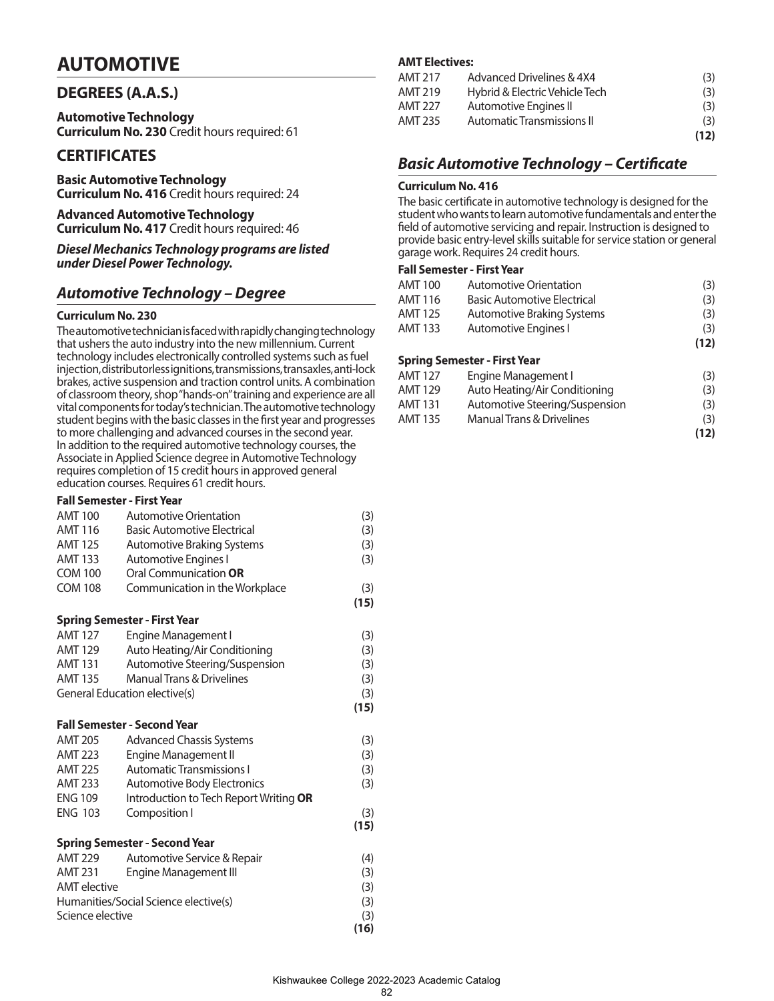## **AUTOMOTIVE**

### **DEGREES (A.A.S.)**

**Automotive Technology Curriculum No. 230** Credit hours required: 61

## **CERTIFICATES**

**Basic Automotive Technology Curriculum No. 416** Credit hours required: 24

**Advanced Automotive Technology Curriculum No. 417** Credit hours required: 46

*Diesel Mechanics Technology programs are listed under Diesel Power Technology.*

### *Automotive Technology – Degree*

#### **Curriculum No. 230**

The automotive technician is faced with rapidly changing technology that ushers the auto industry into the new millennium. Current technology includes electronically controlled systems such as fuel injection, distributorless ignitions, transmissions, transaxles, anti-lock brakes, active suspension and traction control units. A combination of classroom theory, shop "hands-on" training and experience are all vital components for today's technician. The automotive technology student begins with the basic classes in the first year and progresses to more challenging and advanced courses in the second year. In addition to the required automotive technology courses, the Associate in Applied Science degree in Automotive Technology requires completion of 15 credit hours in approved general education courses. Requires 61 credit hours.

## **Fall Semester - First Year**

| <b>AMT 100</b>      | <b>Automotive Orientation</b>          | (3)  |
|---------------------|----------------------------------------|------|
| <b>AMT 116</b>      | <b>Basic Automotive Electrical</b>     | (3)  |
| <b>AMT 125</b>      | <b>Automotive Braking Systems</b>      | (3)  |
| <b>AMT 133</b>      | <b>Automotive Engines I</b>            | (3)  |
| <b>COM 100</b>      | Oral Communication OR                  |      |
| <b>COM 108</b>      | Communication in the Workplace         | (3)  |
|                     |                                        | (15) |
|                     | <b>Spring Semester - First Year</b>    |      |
| <b>AMT 127</b>      | Engine Management I                    | (3)  |
| <b>AMT 129</b>      | Auto Heating/Air Conditioning          | (3)  |
| <b>AMT 131</b>      | Automotive Steering/Suspension         | (3)  |
| <b>AMT 135</b>      | <b>Manual Trans &amp; Drivelines</b>   | (3)  |
|                     | General Education elective(s)          | (3)  |
|                     |                                        | (15) |
|                     | <b>Fall Semester - Second Year</b>     |      |
| <b>AMT 205</b>      | <b>Advanced Chassis Systems</b>        | (3)  |
| <b>AMT 223</b>      | <b>Engine Management II</b>            | (3)  |
| <b>AMT 225</b>      | <b>Automatic Transmissions I</b>       | (3)  |
| <b>AMT 233</b>      | Automotive Body Electronics            | (3)  |
| <b>ENG 109</b>      | Introduction to Tech Report Writing OR |      |
| <b>ENG 103</b>      | Composition I                          | (3)  |
|                     |                                        | (15) |
|                     | <b>Spring Semester - Second Year</b>   |      |
| <b>AMT 229</b>      | Automotive Service & Repair            | (4)  |
| <b>AMT 231</b>      | <b>Engine Management III</b>           | (3)  |
| <b>AMT</b> elective |                                        | (3)  |
|                     | Humanities/Social Science elective(s)  | (3)  |
| Science elective    |                                        | (3)  |
|                     |                                        | (16) |

#### **AMT Electives:**

| AMT 217 | Advanced Drivelines & 4X4      | (3)  |
|---------|--------------------------------|------|
| AMT 219 | Hybrid & Electric Vehicle Tech | (3)  |
| AMT 227 | Automotive Engines II          | (3)  |
| AMT 235 | Automatic Transmissions II     | (3)  |
|         |                                | (12) |

### *Basic Automotive Technology – Certificate*

#### **Curriculum No. 416**

The basic certificate in automotive technology is designed for the student who wants to learn automotive fundamentals and enter the field of automotive servicing and repair. Instruction is designed to provide basic entry-level skills suitable for service station or general garage work. Requires 24 credit hours.

#### **Fall Semester - First Year**

| AMT 100 | Automotive Orientation             | (3)  |
|---------|------------------------------------|------|
| AMT 116 | <b>Basic Automotive Electrical</b> | (3)  |
| AMT 125 | Automotive Braking Systems         | (3)  |
| AMT 133 | Automotive Engines I               | (3)  |
|         |                                    | (12) |

#### **Spring Semester - First Year**

| AMT 127 | Engine Management I                  | (3)  |
|---------|--------------------------------------|------|
| AMT 129 | Auto Heating/Air Conditioning        | (3)  |
| AMT 131 | Automotive Steering/Suspension       | (3)  |
| AMT 135 | <b>Manual Trans &amp; Drivelines</b> | (3)  |
|         |                                      |      |
|         |                                      | (12) |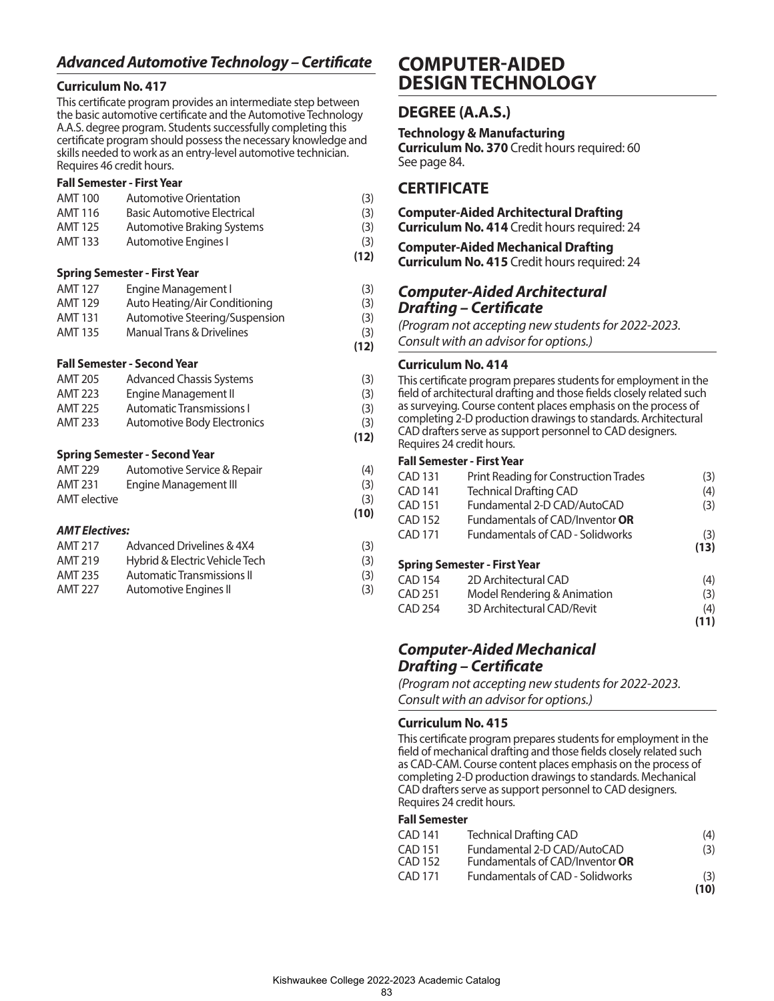## *Advanced Automotive Technology – Certificate*

### **Curriculum No. 417**

This certificate program provides an intermediate step between the basic automotive certificate and the Automotive Technology A.A.S. degree program. Students successfully completing this certificate program should possess the necessary knowledge and skills needed to work as an entry-level automotive technician. Requires 46 credit hours.

#### **Fall Semester - First Year**

| <b>AMT 100</b>        | <b>Automotive Orientation</b>        | (3)  |
|-----------------------|--------------------------------------|------|
| <b>AMT 116</b>        | <b>Basic Automotive Electrical</b>   | (3)  |
| <b>AMT 125</b>        | <b>Automotive Braking Systems</b>    | (3)  |
| <b>AMT 133</b>        | Automotive Engines I                 | (3)  |
|                       |                                      | (12) |
|                       | <b>Spring Semester - First Year</b>  |      |
| <b>AMT 127</b>        | Engine Management I                  | (3)  |
| <b>AMT 129</b>        | Auto Heating/Air Conditioning        | (3)  |
| <b>AMT 131</b>        | Automotive Steering/Suspension       | (3)  |
| <b>AMT 135</b>        | <b>Manual Trans &amp; Drivelines</b> | (3)  |
|                       |                                      | (12) |
|                       | <b>Fall Semester - Second Year</b>   |      |
| <b>AMT 205</b>        | <b>Advanced Chassis Systems</b>      | (3)  |
| <b>AMT 223</b>        | Engine Management II                 | (3)  |
| AMT 225               | <b>Automatic Transmissions I</b>     | (3)  |
| <b>AMT 233</b>        | Automotive Body Electronics          | (3)  |
|                       |                                      | (12) |
|                       | <b>Spring Semester - Second Year</b> |      |
| AMT 229               | Automotive Service & Repair          | (4)  |
| AMT 231               | Engine Management III                | (3)  |
| <b>AMT</b> elective   |                                      | (3)  |
|                       |                                      | (10) |
| <b>AMT Electives:</b> |                                      |      |
| <b>AMT 217</b>        | Advanced Drivelines & 4X4            | (3)  |
|                       |                                      |      |

| AMT 217        | Advanced Drivelines & 4X4      | (3) |
|----------------|--------------------------------|-----|
| <b>AMT 219</b> | Hybrid & Electric Vehicle Tech | (3) |
| AMT 235        | Automatic Transmissions II     | (3) |
| <b>AMT 227</b> | Automotive Engines II          | (3) |

## **COMPUTER-AIDED DESIGN TECHNOLOGY**

## **DEGREE (A.A.S.)**

**Technology & Manufacturing Curriculum No. 370** Credit hours required: 60 See page 84.

## **CERTIFICATE**

## **Computer-Aided Architectural Drafting Curriculum No. 414** Credit hours required: 24 **Computer-Aided Mechanical Drafting Curriculum No. 415** Credit hours required: 24 *Computer-Aided Architectural*

## *Drafting – Certificate*

*(Program not accepting new students for 2022-2023.* 

*Consult with an advisor for options.)*

### **Curriculum No. 414**

This certificate program prepares students for employment in the field of architectural drafting and those fields closely related such as surveying. Course content places emphasis on the process of completing 2-D production drawings to standards. Architectural CAD drafters serve as support personnel to CAD designers. Requires 24 credit hours.

#### **Fall Semester - First Year**

| <b>CAD 131</b> | <b>Print Reading for Construction Trades</b> | (3)  |
|----------------|----------------------------------------------|------|
| <b>CAD 141</b> | <b>Technical Drafting CAD</b>                | (4)  |
| <b>CAD 151</b> | Fundamental 2-D CAD/AutoCAD                  | (3)  |
| <b>CAD 152</b> | Fundamentals of CAD/Inventor OR              |      |
| <b>CAD 171</b> | <b>Fundamentals of CAD - Solidworks</b>      | (3)  |
|                |                                              | (13) |
|                | <b>Spring Semester - First Year</b>          |      |
| <b>CAD 154</b> | 2D Architectural CAD                         | (4)  |
| <b>CAD 251</b> | Model Rendering & Animation                  | (3)  |
| <b>CAD 254</b> | 3D Architectural CAD/Revit                   | (4)  |
|                |                                              |      |

## **(11)** *Computer-Aided Mechanical*

*Drafting – Certificate* 

*(Program not accepting new students for 2022-2023. Consult with an advisor for options.)*

#### **Curriculum No. 415**

This certificate program prepares students for employment in the field of mechanical drafting and those fields closely related such as CAD-CAM. Course content places emphasis on the process of completing 2-D production drawings to standards. Mechanical CAD drafters serve as support personnel to CAD designers. Requires 24 credit hours.

#### **Fall Semester**

| CAD 141 | <b>Technical Drafting CAD</b>           | (4)  |
|---------|-----------------------------------------|------|
| CAD 151 | Fundamental 2-D CAD/AutoCAD             | (3)  |
| CAD 152 | Fundamentals of CAD/Inventor OR         |      |
| CAD 171 | <b>Fundamentals of CAD - Solidworks</b> | (3)  |
|         |                                         | (10) |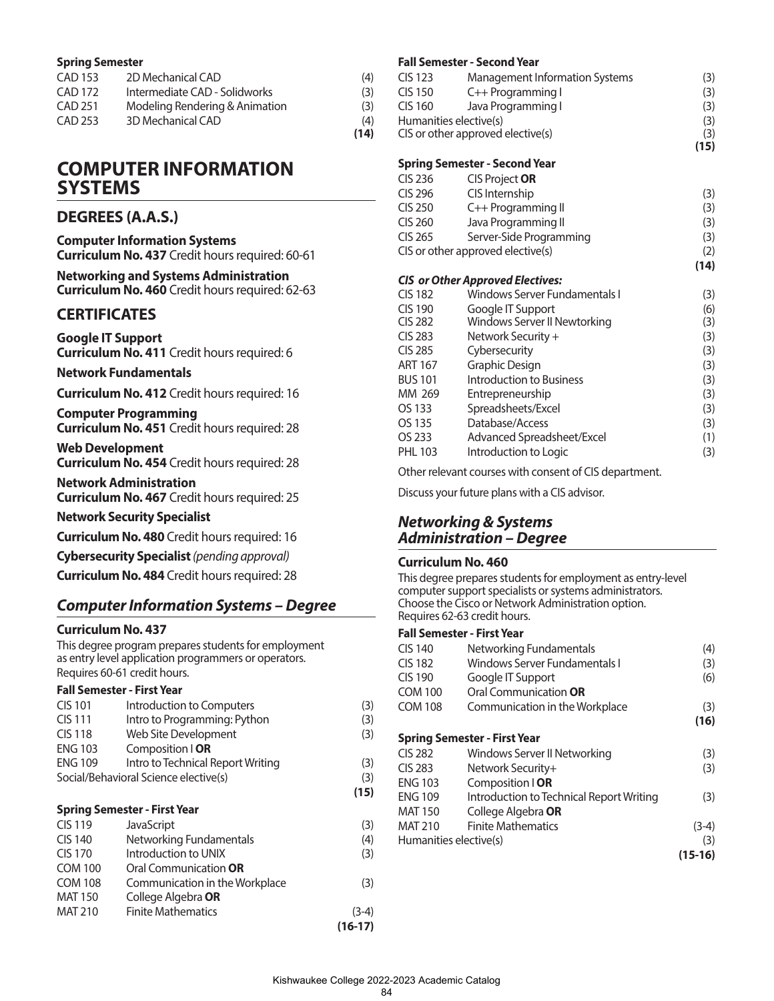#### **Spring Semester**

| CAD 153 | 2D Mechanical CAD              | (4)  |
|---------|--------------------------------|------|
| CAD 172 | Intermediate CAD - Solidworks  | (3)  |
| CAD 251 | Modeling Rendering & Animation | (3)  |
| CAD 253 | 3D Mechanical CAD              | (4)  |
|         |                                | (14) |

## **COMPUTER INFORMATION SYSTEMS**

## **DEGREES (A.A.S.)**

| <b>Computer Information Systems</b> |                                                        |
|-------------------------------------|--------------------------------------------------------|
|                                     | <b>Curriculum No. 437</b> Credit hours required: 60-61 |

#### **Networking and Systems Administration Curriculum No. 460** Credit hours required: 62-63

## **CERTIFICATES**

**Google IT Support Curriculum No. 411** Credit hours required: 6

#### **Network Fundamentals**

**Curriculum No. 412** Credit hours required: 16

**Computer Programming Curriculum No. 451** Credit hours required: 28

**Web Development Curriculum No. 454** Credit hours required: 28

**Network Administration Curriculum No. 467** Credit hours required: 25

**Network Security Specialist**

**Curriculum No. 480** Credit hours required: 16

**Cybersecurity Specialist** *(pending approval)*

**Curriculum No. 484** Credit hours required: 28

## *Computer Information Systems – Degree*

#### **Curriculum No. 437**

This degree program prepares students for employment as entry level application programmers or operators. Requires 60-61 credit hours.

#### **Fall Semester - First Year**

| <b>CIS 101</b>                        | Introduction to Computers         | (3)  |
|---------------------------------------|-----------------------------------|------|
| <b>CIS 111</b>                        | Intro to Programming: Python      | (3)  |
| <b>CIS 118</b>                        | Web Site Development              | (3)  |
| <b>ENG 103</b>                        | Composition   OR                  |      |
| <b>ENG 109</b>                        | Intro to Technical Report Writing | (3)  |
| Social/Behavioral Science elective(s) |                                   | (3)  |
|                                       |                                   | (15) |

#### **Spring Semester - First Year**

| <b>CIS 119</b> | JavaScript                     | (3)       |
|----------------|--------------------------------|-----------|
| <b>CIS 140</b> | Networking Fundamentals        | (4)       |
| CIS 170        | Introduction to UNIX           | (3)       |
| <b>COM 100</b> | Oral Communication OR          |           |
| <b>COM 108</b> | Communication in the Workplace | (3)       |
| <b>MAT 150</b> | College Algebra OR             |           |
| <b>MAT 210</b> | <b>Finite Mathematics</b>      | $(3-4)$   |
|                |                                | $(16-17)$ |

#### **Fall Semester - Second Year**

|                                  | rall Semester - Second fear             |             |
|----------------------------------|-----------------------------------------|-------------|
| <b>CIS 123</b><br><b>CIS 150</b> | Management Information Systems          | (3)         |
|                                  | C++ Programming I                       | (3)         |
| <b>CIS 160</b>                   | Java Programming I                      | (3)         |
| Humanities elective(s)           |                                         | (3)         |
|                                  | CIS or other approved elective(s)       | (3)<br>(15) |
|                                  | <b>Spring Semester - Second Year</b>    |             |
| CIS 236                          | CIS Project OR                          |             |
| CIS 296                          | CIS Internship                          | (3)         |
| <b>CIS 250</b>                   | C++ Programming II                      | (3)         |
| <b>CIS 260</b>                   | Java Programming II                     | (3)         |
| <b>CIS 265</b>                   | Server-Side Programming                 | (3)         |
|                                  | CIS or other approved elective(s)       | (2)         |
|                                  |                                         | (14)        |
|                                  | <b>CIS or Other Approved Electives:</b> |             |
| <b>CIS 182</b>                   | Windows Server Fundamentals I           | (3)         |
| <b>CIS 190</b>                   | Google IT Support                       | (6)         |
| <b>CIS 282</b>                   | Windows Server II Newtorking            | (3)         |
| <b>CIS 283</b>                   | Network Security +                      | (3)         |
| <b>CIS 285</b>                   | Cybersecurity                           | (3)         |
| <b>ART 167</b>                   | Graphic Design                          | (3)         |
| <b>BUS 101</b>                   | Introduction to Business                | (3)         |
| MM 269                           | Entrepreneurship                        | (3)         |
| OS 133                           | Spreadsheets/Excel                      | (3)         |
| OS 135                           | Database/Access                         | (3)         |
| OS 233                           | Advanced Spreadsheet/Excel              | (1)         |
| <b>PHL 103</b>                   | Introduction to Logic                   | (3)         |

Other relevant courses with consent of CIS department.

Discuss your future plans with a CIS advisor.

### *Networking & Systems Administration – Degree*

#### **Curriculum No. 460**

This degree prepares students for employment as entry-level computer support specialists or systems administrators. Choose the Cisco or Network Administration option. Requires 62-63 credit hours.

| CIS 140                | Networking Fundamentals                  | (4)       |
|------------------------|------------------------------------------|-----------|
| <b>CIS 182</b>         | <b>Windows Server Fundamentals I</b>     | (3)       |
| <b>CIS 190</b>         | Google IT Support                        | (6)       |
| <b>COM 100</b>         | Oral Communication OR                    |           |
| <b>COM 108</b>         | Communication in the Workplace           | (3)       |
|                        |                                          | (16)      |
|                        | <b>Spring Semester - First Year</b>      |           |
| <b>CIS 282</b>         | Windows Server II Networking             | (3)       |
| <b>CIS 283</b>         | Network Security+                        | (3)       |
| <b>ENG 103</b>         | Composition   OR                         |           |
| <b>ENG 109</b>         | Introduction to Technical Report Writing | (3)       |
| <b>MAT 150</b>         | College Algebra <b>OR</b>                |           |
| <b>MAT 210</b>         | <b>Finite Mathematics</b>                | $(3-4)$   |
| Humanities elective(s) |                                          | (3)       |
|                        |                                          | $(15-16)$ |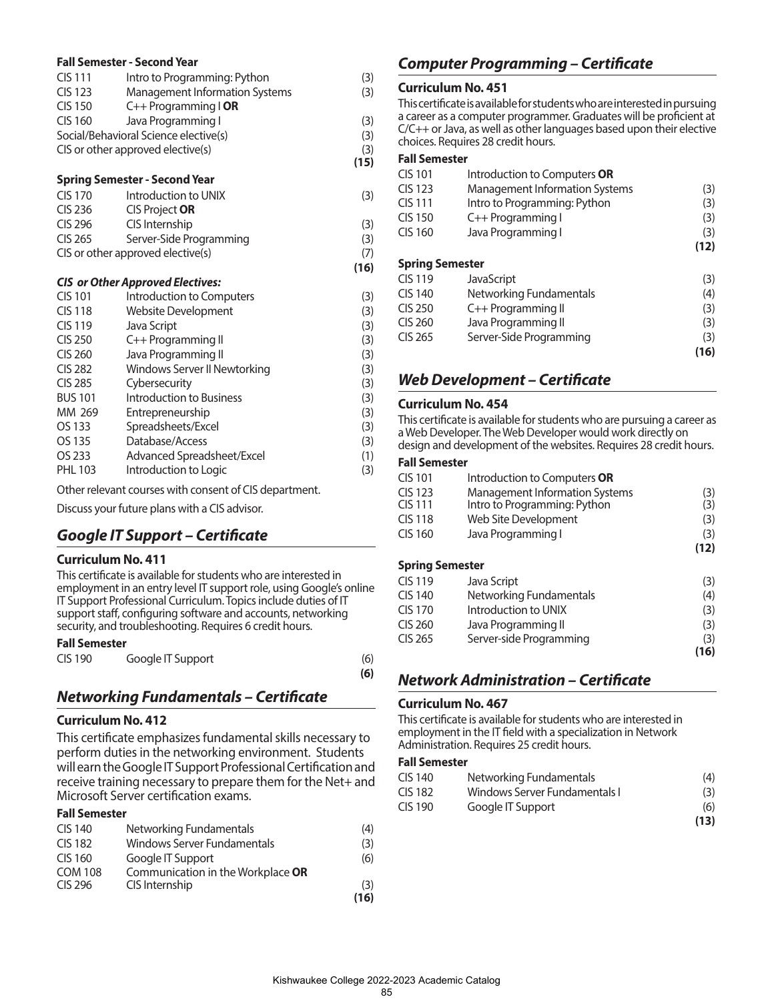|                | <b>Fall Semester - Second Year</b>      |      |
|----------------|-----------------------------------------|------|
| <b>CIS111</b>  | Intro to Programming: Python            | (3)  |
| <b>CIS 123</b> | Management Information Systems          | (3)  |
| <b>CIS 150</b> | C++ Programming I OR                    |      |
| <b>CIS 160</b> | Java Programming I                      | (3)  |
|                | Social/Behavioral Science elective(s)   | (3)  |
|                | CIS or other approved elective(s)       | (3)  |
|                |                                         | (15) |
|                | <b>Spring Semester - Second Year</b>    |      |
| <b>CIS 170</b> | Introduction to UNIX                    | (3)  |
| <b>CIS 236</b> | <b>CIS Project OR</b>                   |      |
| CIS 296        | CIS Internship                          | (3)  |
| CIS 265        | Server-Side Programming                 | (3)  |
|                | CIS or other approved elective(s)       | (7)  |
|                |                                         | (16) |
|                | <b>CIS or Other Approved Electives:</b> |      |
| CIS 101        | Introduction to Computers               | (3)  |
| <b>CIS118</b>  | Website Development                     | (3)  |
| <b>CIS119</b>  | Java Script                             | (3)  |
| <b>CIS 250</b> | C++ Programming II                      | (3)  |
| <b>CIS 260</b> | Java Programming II                     | (3)  |
| <b>CIS 282</b> | Windows Server II Newtorking            | (3)  |
| <b>CIS 285</b> | Cybersecurity                           | (3)  |
| <b>BUS 101</b> | Introduction to Business                | (3)  |
| MM 269         | Entrepreneurship                        | (3)  |
| OS 133         | Spreadsheets/Excel                      | (3)  |
| OS 135         | Database/Access                         | (3)  |
| OS 233         | Advanced Spreadsheet/Excel              | (1)  |

PHL 103 Introduction to Logic (3)

Other relevant courses with consent of CIS department.

Discuss your future plans with a CIS advisor.

### *Google IT Support – Certificate*

#### **Curriculum No. 411**

This certificate is available for students who are interested in employment in an entry level IT support role, using Google's online IT Support Professional Curriculum. Topics include duties of IT support staff, configuring software and accounts, networking security, and troubleshooting. Requires 6 credit hours.

#### **Fall Semester**

| <b>CIS 190</b> | Google IT Support | (6) |
|----------------|-------------------|-----|
|                |                   | (6) |

### *Networking Fundamentals – Certificate*

#### **Curriculum No. 412**

This certificate emphasizes fundamental skills necessary to perform duties in the networking environment. Students will earn the Google IT Support Professional Certification and receive training necessary to prepare them for the Net+ and Microsoft Server certification exams.

#### **Fall Semester**

| <b>CIS 140</b> | Networking Fundamentals           | (4)  |
|----------------|-----------------------------------|------|
| <b>CIS 182</b> | Windows Server Fundamentals       | (3)  |
| CIS 160        | Google IT Support                 | (6)  |
| <b>COM 108</b> | Communication in the Workplace OR |      |
| <b>CIS 296</b> | CIS Internship                    | (3)  |
|                |                                   | (16) |

### *Computer Programming – Certificate*

#### **Curriculum No. 451**

This certificate is available for students who are interested in pursuing a career as a computer programmer. Graduates will be proficient at C/C++ or Java, as well as other languages based upon their elective choices. Requires 28 credit hours.

#### **Fall Semester**

| <b>CIS 101</b>         | Introduction to Computers OR          |      |
|------------------------|---------------------------------------|------|
| <b>CIS 123</b>         | <b>Management Information Systems</b> | (3)  |
| <b>CIS111</b>          | Intro to Programming: Python          | (3)  |
| <b>CIS 150</b>         | C++ Programming I                     | (3)  |
| CIS 160                | Java Programming I                    | (3)  |
|                        |                                       | (12) |
| <b>Spring Semester</b> |                                       |      |
| <b>CIS 119</b>         | <b>JavaScript</b>                     | (3)  |
| CIS 140                | Networking Fundamentals               | (4)  |
| <b>CIS 250</b>         | C++ Programming II                    | (3)  |
| CIS 260                | Java Programming II                   | (3)  |
| CIS 265                | Server-Side Programming               | (3)  |
|                        |                                       | 16)  |

### *Web Development – Certificate*

#### **Curriculum No. 454**

This certificate is available for students who are pursuing a career as a Web Developer. The Web Developer would work directly on design and development of the websites. Requires 28 credit hours.

#### **Fall Semester**

| CIS 101                | Introduction to Computers OR          |      |
|------------------------|---------------------------------------|------|
| CIS 123                | <b>Management Information Systems</b> | (3)  |
| CIS 111                | Intro to Programming: Python          | (3)  |
| CIS 118                | Web Site Development                  | (3)  |
| CIS 160                | Java Programming I                    | (3)  |
|                        |                                       | (12) |
| <b>Spring Semester</b> |                                       |      |

| CIS 119 | Java Script             | (3)  |
|---------|-------------------------|------|
| CIS 140 | Networking Fundamentals | (4)  |
| CIS 170 | Introduction to UNIX    | (3)  |
| CIS 260 | Java Programming II     | (3)  |
| CIS 265 | Server-side Programming | (3)  |
|         |                         | (16) |

### *Network Administration – Certificate*

#### **Curriculum No. 467**

This certificate is available for students who are interested in employment in the IT field with a specialization in Network Administration. Requires 25 credit hours.

#### **Fall Semester**

| CIS 140 | Networking Fundamentals       | (4)  |
|---------|-------------------------------|------|
| CIS 182 | Windows Server Fundamentals I | (3)  |
| CIS 190 | Google IT Support             | (6)  |
|         |                               | (13) |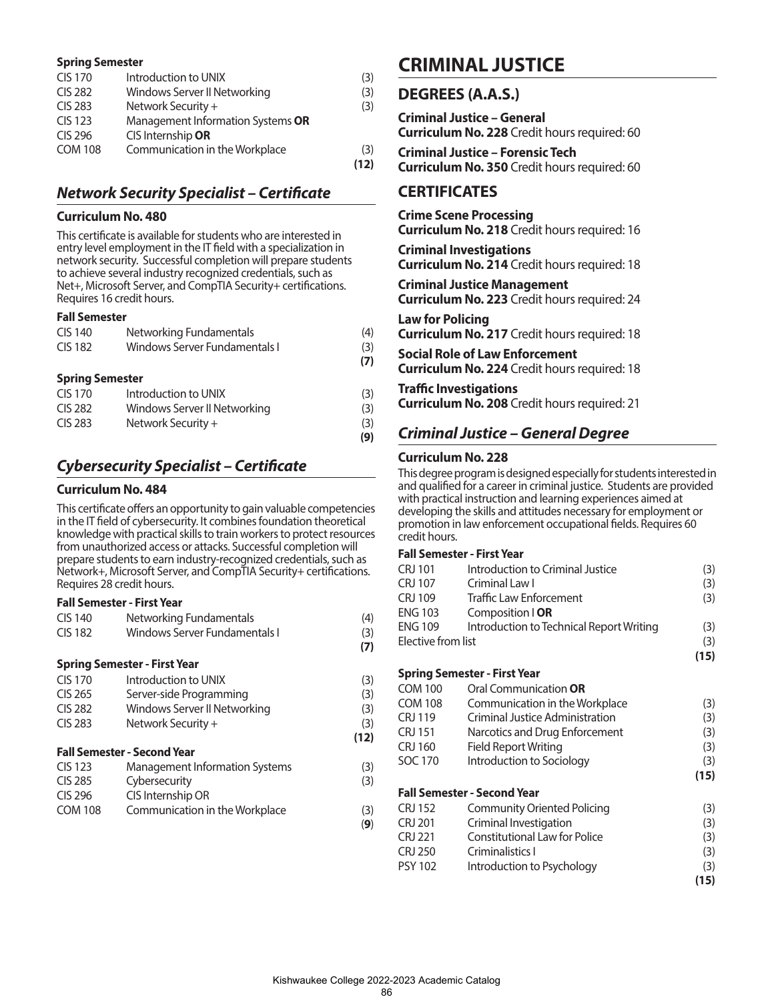#### **Spring Semester**

| CIS 170        | Introduction to UNIX              | (3)  |
|----------------|-----------------------------------|------|
| <b>CIS 282</b> | Windows Server II Networking      | (3)  |
| <b>CIS 283</b> | Network Security +                | (3)  |
| <b>CIS 123</b> | Management Information Systems OR |      |
| CIS 296        | CIS Internship OR                 |      |
| <b>COM 108</b> | Communication in the Workplace    | (3)  |
|                |                                   | (12) |

## *Network Security Specialist – Certificate*

#### **Curriculum No. 480**

This certificate is available for students who are interested in entry level employment in the IT field with a specialization in network security. Successful completion will prepare students to achieve several industry recognized credentials, such as Net+, Microsoft Server, and CompTIA Security+ certifications. Requires 16 credit hours.

#### **Fall Semester**

| <b>CIS 140</b>         | Networking Fundamentals       | (4) |
|------------------------|-------------------------------|-----|
| <b>CIS 182</b>         | Windows Server Fundamentals I | (3) |
|                        |                               | (7) |
| <b>Spring Semester</b> |                               |     |
| <b>CIS 170</b>         | Introduction to UNIX          | (3) |
| <b>CIS 282</b>         | Windows Server II Networking  | (3) |
| <b>CIS 283</b>         | Network Security +            | (3) |
|                        |                               | (9) |

## *Cybersecurity Specialist – Certificate*

#### **Curriculum No. 484**

This certificate offers an opportunity to gain valuable competencies in the IT field of cybersecurity. It combines foundation theoretical knowledge with practical skills to train workers to protect resources from unauthorized access or attacks. Successful completion will prepare students to earn industry-recognized credentials, such as Network+, Microsoft Server, and CompTIA Security+ certifications. Requires 28 credit hours.

#### **Fall Semester - First Year**

| CIS 140        | Networking Fundamentals       | (4) |
|----------------|-------------------------------|-----|
| <b>CIS 182</b> | Windows Server Fundamentals I | (3) |
|                |                               | (7) |

#### **Spring Semester - First Year**

| CIS 170 | Introduction to UNIX         | (3)  |
|---------|------------------------------|------|
| CIS 265 | Server-side Programming      | (3)  |
| CIS 282 | Windows Server II Networking | (3)  |
| CIS 283 | Network Security +           | (3)  |
|         |                              | (12) |

#### **Fall Semester - Second Year**

| <b>CIS 123</b> | Management Information Systems | (3) |
|----------------|--------------------------------|-----|
| <b>CIS 285</b> | Cybersecurity                  | (3) |
| CIS 296        | CIS Internship OR              |     |
| <b>COM 108</b> | Communication in the Workplace | (3) |

(**9**)

## **CRIMINAL JUSTICE**

#### **DEGREES (A.A.S.)**

**Criminal Justice – General Curriculum No. 228** Credit hours required: 60

**Criminal Justice – Forensic Tech Curriculum No. 350** Credit hours required: 60

### **CERTIFICATES**

**Crime Scene Processing Curriculum No. 218** Credit hours required: 16

**Criminal Investigations Curriculum No. 214** Credit hours required: 18

**Criminal Justice Management Curriculum No. 223** Credit hours required: 24

**Law for Policing Curriculum No. 217** Credit hours required: 18

**Social Role of Law Enforcement Curriculum No. 224** Credit hours required: 18

**Traffic Investigations**

**Curriculum No. 208** Credit hours required: 21

## *Criminal Justice – General Degree*

#### **Curriculum No. 228**

This degree program is designed especially for students interested in and qualified for a career in criminal justice. Students are provided with practical instruction and learning experiences aimed at developing the skills and attitudes necessary for employment or promotion in law enforcement occupational fields. Requires 60 credit hours.

#### **Fall Semester - First Year**

|                    |                                          | (15) |
|--------------------|------------------------------------------|------|
| Elective from list |                                          | (3)  |
| ENG 109            | Introduction to Technical Report Writing | (3)  |
| ENG 103            | Composition   OR                         |      |
| CRJ 109            | <b>Traffic Law Enforcement</b>           | (3)  |
| CRJ 107            | Criminal Law I                           | (3)  |
| CRJ 101            | Introduction to Criminal Justice         | (3)  |

**Spring Semester - First Year**

| <b>COM 100</b> | Oral Communication OR                |      |
|----------------|--------------------------------------|------|
| <b>COM 108</b> | Communication in the Workplace       | (3)  |
| <b>CRJ 119</b> | Criminal Justice Administration      | (3)  |
| <b>CRJ 151</b> | Narcotics and Drug Enforcement       | (3)  |
| CRJ 160        | Field Report Writing                 | (3)  |
| SOC 170        | Introduction to Sociology            | (3)  |
|                |                                      | (15) |
|                | <b>Fall Semester - Second Year</b>   |      |
| <b>CRJ 152</b> | Community Oriented Policing          | (3)  |
| <b>CRJ 201</b> | Criminal Investigation               | (3)  |
| <b>CRJ 221</b> | <b>Constitutional Law for Police</b> | (3)  |
| <b>CRJ 250</b> | Criminalistics I                     | (3)  |
| <b>PSY 102</b> | Introduction to Psychology           | (3)  |
|                |                                      | (15) |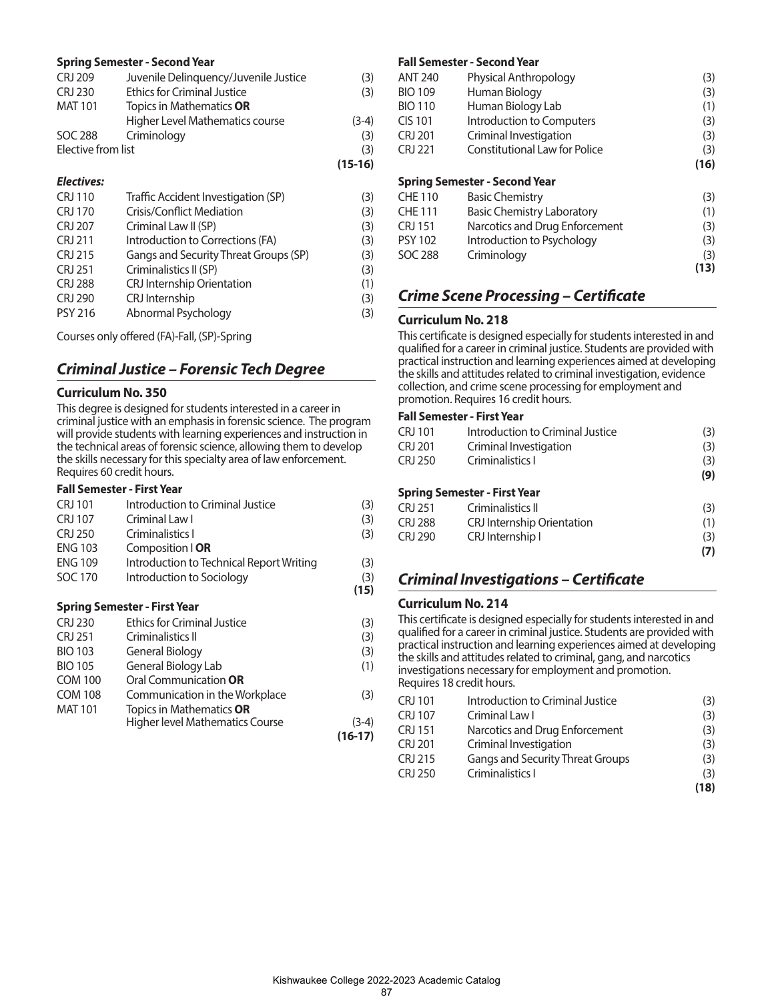#### **Spring Semester - Second Year**

|                    |                                       | $(15-16)$ |
|--------------------|---------------------------------------|-----------|
| Elective from list |                                       | (3)       |
| SOC 288            | Criminology                           | (3)       |
|                    | Higher Level Mathematics course       | $(3-4)$   |
| <b>MAT 101</b>     | Topics in Mathematics <b>OR</b>       |           |
| <b>CRJ 230</b>     | <b>Ethics for Criminal Justice</b>    | (3)       |
| <b>CRJ 209</b>     | Juvenile Delinquency/Juvenile Justice | (3)       |

#### *Electives:*

| <b>CRJ 110</b> | Traffic Accident Investigation (SP)   | (3) |
|----------------|---------------------------------------|-----|
| <b>CRJ 170</b> | <b>Crisis/Conflict Mediation</b>      | (3) |
| <b>CRJ 207</b> | Criminal Law II (SP)                  | (3) |
| <b>CRJ 211</b> | Introduction to Corrections (FA)      | (3) |
| CRJ 215        | Gangs and Security Threat Groups (SP) | (3) |
| <b>CRJ 251</b> | Criminalistics II (SP)                | (3) |
| <b>CRJ 288</b> | CRJ Internship Orientation            | (1) |
| <b>CRJ 290</b> | CRJ Internship                        | (3) |
| <b>PSY 216</b> | Abnormal Psychology                   | (3) |
|                |                                       |     |

Courses only offered (FA)-Fall, (SP)-Spring

## *Criminal Justice – Forensic Tech Degree*

#### **Curriculum No. 350**

This degree is designed for students interested in a career in criminal justice with an emphasis in forensic science. The program will provide students with learning experiences and instruction in the technical areas of forensic science, allowing them to develop the skills necessary for this specialty area of law enforcement. Requires 60 credit hours.

#### **Fall Semester - First Year**

| CRJ 101        | Introduction to Criminal Justice         | (3)       |
|----------------|------------------------------------------|-----------|
| <b>CRJ 107</b> | Criminal Law I                           | (3)       |
| <b>CRJ 250</b> | Criminalistics I                         | (3)       |
| <b>ENG 103</b> | Composition   OR                         |           |
| <b>ENG 109</b> | Introduction to Technical Report Writing | (3)       |
| SOC 170        | Introduction to Sociology                | (3)       |
|                |                                          | (15)      |
|                | <b>Spring Semester - First Year</b>      |           |
| <b>CRJ 230</b> | <b>Ethics for Criminal Justice</b>       | (3)       |
| CRJ 251        | Criminalistics II                        | (3)       |
| <b>BIO 103</b> | General Biology                          | (3)       |
| <b>BIO 105</b> | General Biology Lab                      | (1)       |
| <b>COM 100</b> | Oral Communication OR                    |           |
| <b>COM 108</b> | Communication in the Workplace           | (3)       |
| <b>MAT 101</b> | Topics in Mathematics OR                 |           |
|                | Higher level Mathematics Course          | $(3-4)$   |
|                |                                          | $(16-17)$ |

#### **Fall Semester - Second Year**

|                                   | (3)                                                           |
|-----------------------------------|---------------------------------------------------------------|
| Human Biology                     | (3)                                                           |
| Human Biology Lab                 | (1)                                                           |
| Introduction to Computers         | (3)                                                           |
| Criminal Investigation            | (3)                                                           |
| Constitutional Law for Police     | (3)                                                           |
|                                   | (16)                                                          |
|                                   |                                                               |
| <b>Basic Chemistry</b>            | (3)                                                           |
| <b>Basic Chemistry Laboratory</b> | (1)                                                           |
| Narcotics and Drug Enforcement    | (3)                                                           |
| Introduction to Psychology        | (3)                                                           |
| Criminology                       | (3)                                                           |
|                                   | 3)                                                            |
|                                   | Physical Anthropology<br><b>Spring Semester - Second Year</b> |

## *Crime Scene Processing – Certificate*

#### **Curriculum No. 218**

This certificate is designed especially for students interested in and qualified for a career in criminal justice. Students are provided with practical instruction and learning experiences aimed at developing the skills and attitudes related to criminal investigation, evidence collection, and crime scene processing for employment and promotion. Requires 16 credit hours.

#### **Fall Semester - First Year**

| CRJ 101        | Introduction to Criminal Justice    | (3) |
|----------------|-------------------------------------|-----|
| CRJ 201        | Criminal Investigation              | (3) |
| <b>CRJ 250</b> | Criminalistics I                    | (3) |
|                |                                     | (9) |
|                | <b>Spring Semester - First Year</b> |     |
| CRJ 251        | Criminalistics II                   | (3) |
| <b>CRJ 288</b> | <b>CRJ</b> Internship Orientation   | (1) |
| <b>CRJ 290</b> | CRJ Internship I                    | (3) |
|                |                                     | (7) |

## *Criminal Investigations – Certificate*

#### **Curriculum No. 214**

This certificate is designed especially for students interested in and qualified for a career in criminal justice. Students are provided with practical instruction and learning experiences aimed at developing the skills and attitudes related to criminal, gang, and narcotics investigations necessary for employment and promotion. Requires 18 credit hours.

| CRJ 101        | Introduction to Criminal Justice        | (3)  |
|----------------|-----------------------------------------|------|
| <b>CRJ 107</b> | Criminal Law I                          | (3)  |
| <b>CRJ 151</b> | Narcotics and Drug Enforcement          | (3)  |
| CRJ 201        | Criminal Investigation                  | (3)  |
| CRJ 215        | <b>Gangs and Security Threat Groups</b> | (3)  |
| CRJ 250        | Criminalistics I                        | (3)  |
|                |                                         | (18) |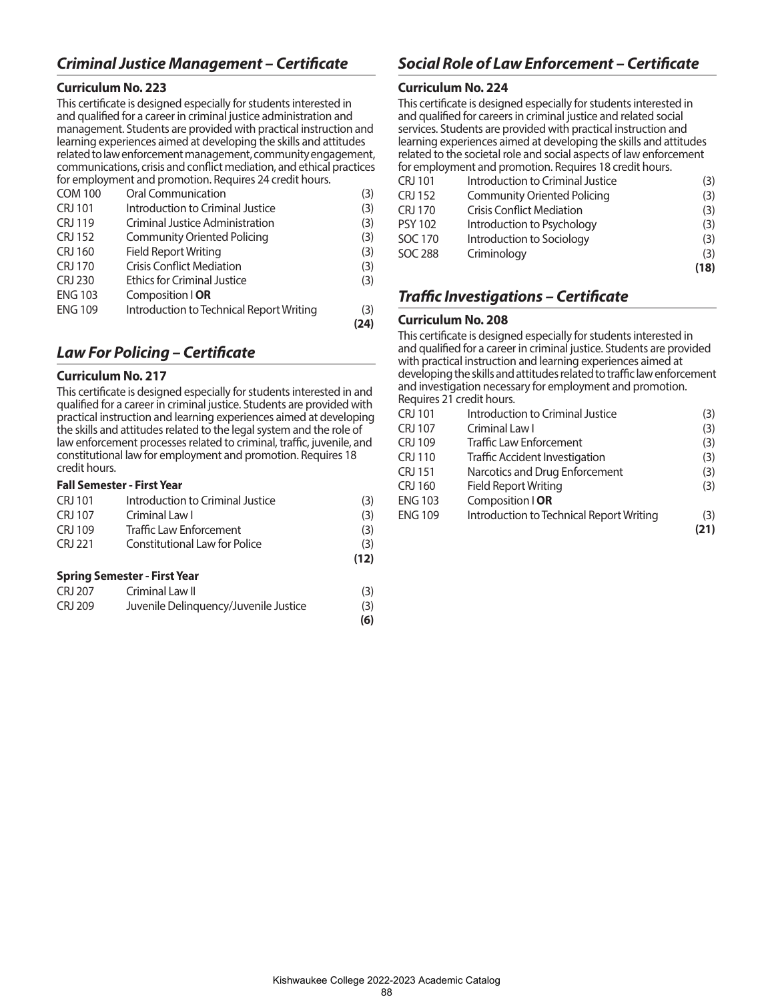## *Criminal Justice Management – Certificate*

#### **Curriculum No. 223**

This certificate is designed especially for students interested in and qualified for a career in criminal justice administration and management. Students are provided with practical instruction and learning experiences aimed at developing the skills and attitudes related to law enforcement management, community engagement, communications, crisis and conflict mediation, and ethical practices for employment and promotion. Requires 24 credit hours.

| <b>COM 100</b> | Oral Communication                       | (3)  |
|----------------|------------------------------------------|------|
| <b>CRJ 101</b> | Introduction to Criminal Justice         | (3)  |
| CRJ 119        | <b>Criminal Justice Administration</b>   | (3)  |
| <b>CRJ 152</b> | Community Oriented Policing              | (3)  |
| <b>CRJ 160</b> | <b>Field Report Writing</b>              | (3)  |
| CRJ 170        | <b>Crisis Conflict Mediation</b>         | (3)  |
| <b>CRJ 230</b> | <b>Ethics for Criminal Justice</b>       | (3)  |
| <b>ENG 103</b> | Composition   OR                         |      |
| <b>ENG 109</b> | Introduction to Technical Report Writing | (3)  |
|                |                                          | (24) |

## *Law For Policing – Certificate*

#### **Curriculum No. 217**

This certificate is designed especially for students interested in and qualified for a career in criminal justice. Students are provided with practical instruction and learning experiences aimed at developing the skills and attitudes related to the legal system and the role of law enforcement processes related to criminal, traffic, juvenile, and constitutional law for employment and promotion. Requires 18 credit hours.

#### **Fall Semester - First Year**

| CRJ 101 | Introduction to Criminal Justice | (3)  |
|---------|----------------------------------|------|
| CRJ 107 | Criminal Law I                   | (3)  |
| CRI 109 | <b>Traffic Law Enforcement</b>   | (3)  |
| CRI 221 | Constitutional Law for Police    | (3)  |
|         |                                  | (12) |

#### **Spring Semester - First Year**

| CRJ 207 | Criminal Law II                       | (3) |
|---------|---------------------------------------|-----|
| CRJ 209 | Juvenile Delinquency/Juvenile Justice | (3) |
|         |                                       | (6) |

## *Social Role of Law Enforcement – Certificate*

#### **Curriculum No. 224**

This certificate is designed especially for students interested in and qualified for careers in criminal justice and related social services. Students are provided with practical instruction and learning experiences aimed at developing the skills and attitudes related to the societal role and social aspects of law enforcement for employment and promotion. Requires 18 credit hours.

|                |                                    | (18) |
|----------------|------------------------------------|------|
| SOC 288        | Criminology                        | (3)  |
| SOC 170        | Introduction to Sociology          | (3)  |
| <b>PSY 102</b> | Introduction to Psychology         | (3)  |
| <b>CRJ 170</b> | <b>Crisis Conflict Mediation</b>   | (3)  |
| <b>CRJ 152</b> | <b>Community Oriented Policing</b> | (3)  |
| CRJ 101        | Introduction to Criminal Justice   | (3)  |

## *Traffic Investigations – Certificate*

#### **Curriculum No. 208**

This certificate is designed especially for students interested in and qualified for a career in criminal justice. Students are provided with practical instruction and learning experiences aimed at developing the skills and attitudes related to traffic law enforcement and investigation necessary for employment and promotion. Requires 21 credit hours.

| <b>CRJ 101</b> | Introduction to Criminal Justice         | (3)  |
|----------------|------------------------------------------|------|
| <b>CRJ 107</b> | Criminal Law I                           | (3)  |
| <b>CRJ 109</b> | <b>Traffic Law Enforcement</b>           | (3)  |
| <b>CRJ 110</b> | <b>Traffic Accident Investigation</b>    | (3)  |
| <b>CRJ 151</b> | Narcotics and Drug Enforcement           | (3)  |
| <b>CRJ 160</b> | <b>Field Report Writing</b>              | (3)  |
| <b>ENG 103</b> | Composition   OR                         |      |
| <b>ENG 109</b> | Introduction to Technical Report Writing | (3)  |
|                |                                          | (21) |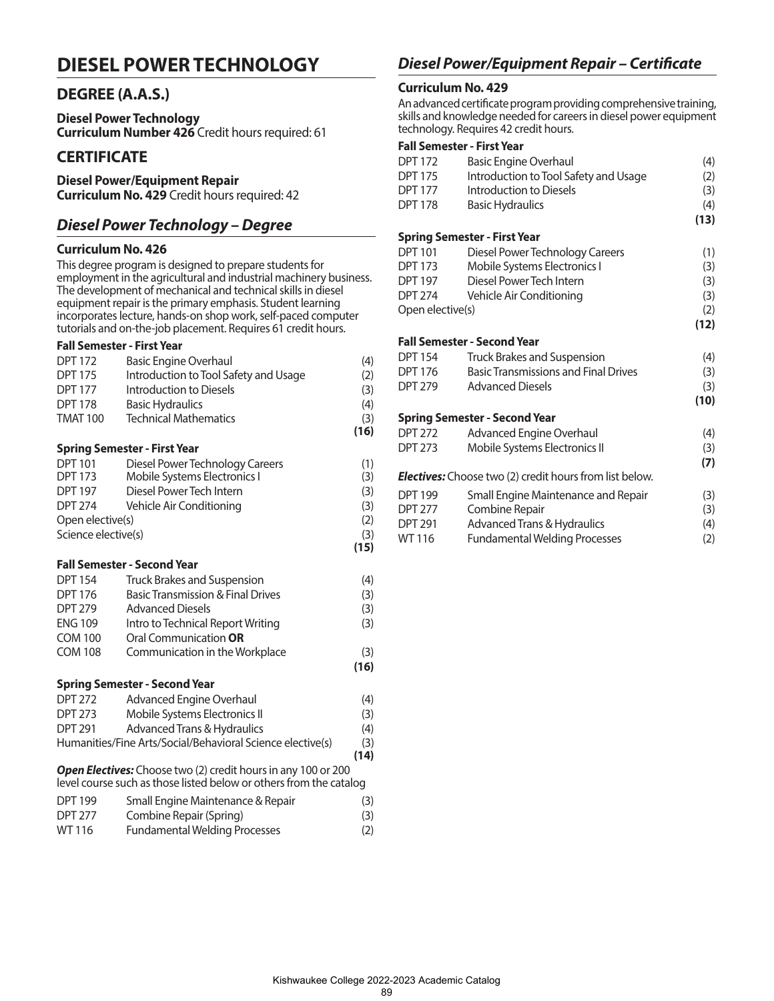## **DIESEL POWER TECHNOLOGY**

### **DEGREE (A.A.S.)**

**Diesel Power Technology Curriculum Number 426** Credit hours required: 61

### **CERTIFICATE**

## **Diesel Power/Equipment Repair**

**Curriculum No. 429** Credit hours required: 42

## *Diesel Power Technology – Degree*

#### **Curriculum No. 426**

This degree program is designed to prepare students for employment in the agricultural and industrial machinery business. The development of mechanical and technical skills in diesel equipment repair is the primary emphasis. Student learning incorporates lecture, hands-on shop work, self-paced computer tutorials and on-the-job placement. Requires 61 credit hours.

#### **Fall Semester - First Year**

| <b>DPT 172</b>      | <b>Basic Engine Overhaul</b>                                               | (4)        |
|---------------------|----------------------------------------------------------------------------|------------|
| <b>DPT 175</b>      | Introduction to Tool Safety and Usage                                      | (2)        |
| <b>DPT 177</b>      | Introduction to Diesels                                                    | (3)        |
| <b>DPT 178</b>      | <b>Basic Hydraulics</b>                                                    | (4)        |
| <b>TMAT 100</b>     | <b>Technical Mathematics</b>                                               | (3)        |
|                     |                                                                            | (16)       |
|                     | <b>Spring Semester - First Year</b>                                        |            |
| <b>DPT 101</b>      | Diesel Power Technology Careers                                            | (1)        |
| <b>DPT 173</b>      | Mobile Systems Electronics I                                               | (3)        |
| <b>DPT 197</b>      | Diesel Power Tech Intern                                                   | (3)        |
| <b>DPT 274</b>      | Vehicle Air Conditioning                                                   | (3)        |
| Open elective(s)    |                                                                            | (2)        |
| Science elective(s) |                                                                            | (3)        |
|                     |                                                                            | (15)       |
|                     | <b>Fall Semester - Second Year</b>                                         |            |
| <b>DPT 154</b>      | Truck Brakes and Suspension                                                | (4)        |
| <b>DPT 176</b>      | <b>Basic Transmission &amp; Final Drives</b>                               | (3)        |
| <b>DPT 279</b>      | <b>Advanced Diesels</b>                                                    | (3)        |
| <b>ENG 109</b>      | Intro to Technical Report Writing                                          | (3)        |
| <b>COM 100</b>      | Oral Communication <b>OR</b>                                               |            |
| <b>COM 108</b>      | Communication in the Workplace                                             | (3)        |
|                     |                                                                            | (16)       |
|                     | <b>Spring Semester - Second Year</b>                                       |            |
| <b>DPT 272</b>      | <b>Advanced Engine Overhaul</b>                                            | (4)        |
| <b>DPT 273</b>      | Mobile Systems Electronics II                                              | (3)        |
| <b>DPT 291</b>      | Advanced Trans & Hydraulics                                                | (4)        |
|                     | $\overline{ }$<br><b>A</b> <i>I I</i> <b>I I I I I I I I</b><br>$\sqrt{ }$ | $\sqrt{2}$ |

Humanities/Fine Arts/Social/Behavioral Science elective(s) (3)  **(14)**

*Open Electives:* Choose two (2) credit hours in any 100 or 200 level course such as those listed below or others from the catalog

| <b>DPT 199</b> | Small Engine Maintenance & Repair    | (3) |
|----------------|--------------------------------------|-----|
| <b>DPT 277</b> | Combine Repair (Spring)              | (3) |
| WT 116         | <b>Fundamental Welding Processes</b> | (2) |

## *Diesel Power/Equipment Repair – Certificate*

### **Curriculum No. 429**

An advanced certificate program providing comprehensive training, skills and knowledge needed for careers in diesel power equipment technology. Requires 42 credit hours.

| <b>DPT 172</b>   | <b>Basic Engine Overhaul</b>                                   | (4)  |
|------------------|----------------------------------------------------------------|------|
| <b>DPT 175</b>   | Introduction to Tool Safety and Usage                          | (2)  |
| <b>DPT 177</b>   | Introduction to Diesels                                        | (3)  |
| <b>DPT 178</b>   | <b>Basic Hydraulics</b>                                        | (4)  |
|                  |                                                                | (13) |
|                  | <b>Spring Semester - First Year</b>                            |      |
| <b>DPT 101</b>   | Diesel Power Technology Careers                                | (1)  |
| <b>DPT 173</b>   | Mobile Systems Electronics I                                   | (3)  |
| <b>DPT 197</b>   | Diesel Power Tech Intern                                       | (3)  |
| <b>DPT 274</b>   | Vehicle Air Conditioning                                       | (3)  |
| Open elective(s) |                                                                | (2)  |
|                  |                                                                | (12) |
|                  | <b>Fall Semester - Second Year</b>                             |      |
| <b>DPT 154</b>   | Truck Brakes and Suspension                                    | (4)  |
| <b>DPT 176</b>   | <b>Basic Transmissions and Final Drives</b>                    | (3)  |
| <b>DPT 279</b>   | <b>Advanced Diesels</b>                                        | (3)  |
|                  |                                                                | (10) |
|                  | <b>Spring Semester - Second Year</b>                           |      |
| <b>DPT 272</b>   | <b>Advanced Engine Overhaul</b>                                | (4)  |
| <b>DPT 273</b>   | Mobile Systems Electronics II                                  | (3)  |
|                  |                                                                | (7)  |
|                  | <b>Electives:</b> Choose two (2) credit hours from list below. |      |
| <b>DPT 199</b>   | Small Engine Maintenance and Repair                            | (3)  |
| <b>DPT 277</b>   | Combine Repair                                                 | (3)  |
| <b>DPT 291</b>   | <b>Advanced Trans &amp; Hydraulics</b>                         | (4)  |
| WT 116           | Fundamental Welding Processes                                  | (2)  |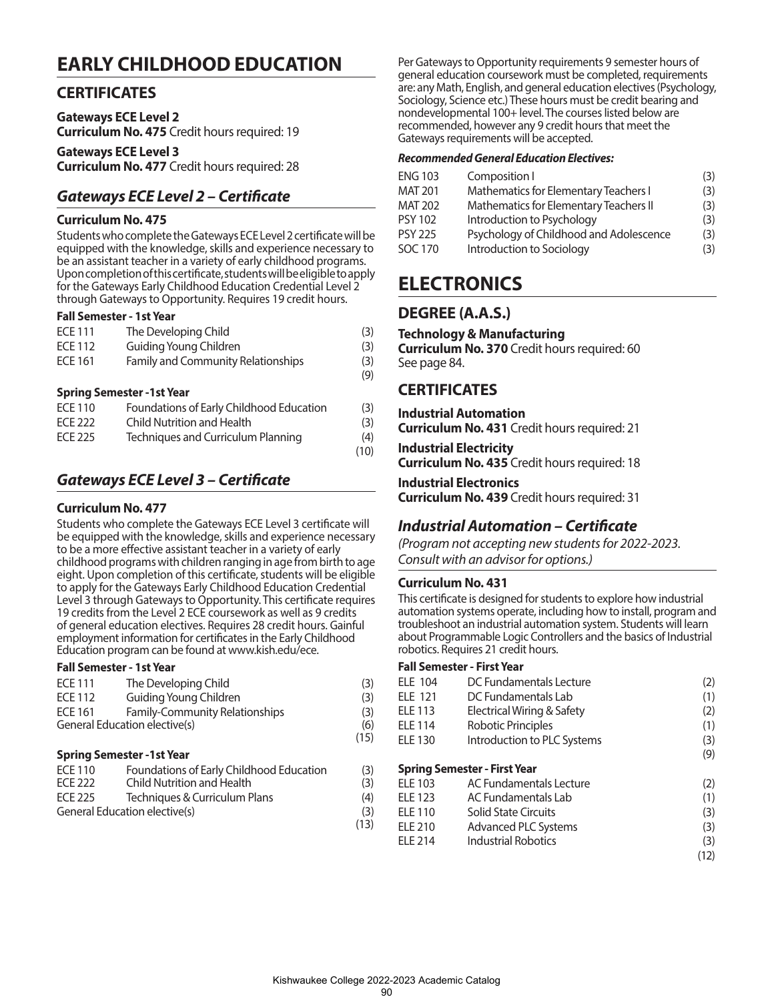## **EARLY CHILDHOOD EDUCATION**

## **CERTIFICATES**

**Gateways ECE Level 2 Curriculum No. 475** Credit hours required: 19

**Gateways ECE Level 3 Curriculum No. 477** Credit hours required: 28

## *Gateways ECE Level 2 – Certificate*

#### **Curriculum No. 475**

Students who complete the Gateways ECE Level 2 certificate will be equipped with the knowledge, skills and experience necessary to be an assistant teacher in a variety of early childhood programs. Upon completion of this certificate, students will be eligible to apply for the Gateways Early Childhood Education Credential Level 2 through Gateways to Opportunity. Requires 19 credit hours.

#### **Fall Semester - 1st Year**

| <b>ECE 111</b> | The Developing Child                     | (3)        |
|----------------|------------------------------------------|------------|
| <b>ECE 112</b> | Guiding Young Children                   | (3)        |
| <b>ECE 161</b> | Family and Community Relationships       | (3)<br>(9) |
|                | <b>Spring Semester -1st Year</b>         |            |
| <b>ECE 110</b> | Foundations of Early Childhood Education | (3)        |
| <b>ECE 222</b> | Child Nutrition and Health               | (3)        |

ECE 225 Techniques and Curriculum Planning (4) (10)

## *Gateways ECE Level 3 – Certificate*

#### **Curriculum No. 477**

Students who complete the Gateways ECE Level 3 certificate will be equipped with the knowledge, skills and experience necessary to be a more effective assistant teacher in a variety of early childhood programs with children ranging in age from birth to age eight. Upon completion of this certificate, students will be eligible to apply for the Gateways Early Childhood Education Credential Level 3 through Gateways to Opportunity. This certificate requires 19 credits from the Level 2 ECE coursework as well as 9 credits of general education electives. Requires 28 credit hours. Gainful employment information for certificates in the Early Childhood Education program can be found at www.kish.edu/ece.

#### **Fall Semester - 1st Year**

| <b>ECE 111</b>                | The Developing Child                  | (3)  |
|-------------------------------|---------------------------------------|------|
| ECE 112                       | Guiding Young Children                | (3)  |
| <b>ECE 161</b>                | <b>Family-Community Relationships</b> | (3)  |
| General Education elective(s) |                                       | (6)  |
|                               |                                       | (15) |

#### **Spring Semester -1st Year**

| ECE 110 | Foundations of Early Childhood Education | (3)  |
|---------|------------------------------------------|------|
| FCF 222 | Child Nutrition and Health               | (3)  |
| ECE 225 | Techniques & Curriculum Plans            | (4)  |
|         | General Education elective(s)            | (3)  |
|         |                                          | (13) |

Per Gateways to Opportunity requirements 9 semester hours of general education coursework must be completed, requirements are: any Math, English, and general education electives (Psychology, Sociology, Science etc.) These hours must be credit bearing and nondevelopmental 100+ level. The courses listed below are recommended, however any 9 credit hours that meet the Gateways requirements will be accepted.

#### *Recommended General Education Electives:*

| <b>ENG 103</b> | Composition I                           | (3) |
|----------------|-----------------------------------------|-----|
| <b>MAT 201</b> | Mathematics for Elementary Teachers I   | (3) |
| <b>MAT 202</b> | Mathematics for Elementary Teachers II  | (3) |
| <b>PSY 102</b> | Introduction to Psychology              | (3) |
| <b>PSY 225</b> | Psychology of Childhood and Adolescence | (3) |
| <b>SOC 170</b> | Introduction to Sociology               | (3) |

## **ELECTRONICS**

## **DEGREE (A.A.S.)**

#### **Technology & Manufacturing**

**Curriculum No. 370** Credit hours required: 60 See page 84.

## **CERTIFICATES**

## **Industrial Automation**

**Curriculum No. 431** Credit hours required: 21

**Industrial Electricity Curriculum No. 435** Credit hours required: 18

## **Industrial Electronics**

**Curriculum No. 439** Credit hours required: 31

## *Industrial Automation – Certificate*

*(Program not accepting new students for 2022-2023. Consult with an advisor for options.)*

#### **Curriculum No. 431**

This certificate is designed for students to explore how industrial automation systems operate, including how to install, program and troubleshoot an industrial automation system. Students will learn about Programmable Logic Controllers and the basics of Industrial robotics. Requires 21 credit hours.

| <b>ELE 104</b> | DC Fundamentals Lecture             | (2)  |
|----------------|-------------------------------------|------|
| <b>ELE 121</b> | DC Fundamentals Lab                 | (1)  |
| <b>ELE 113</b> | Electrical Wiring & Safety          | (2)  |
| <b>ELE 114</b> | Robotic Principles                  | (1)  |
| <b>ELE 130</b> | Introduction to PLC Systems         | (3)  |
|                |                                     | (9)  |
|                | <b>Spring Semester - First Year</b> |      |
| <b>ELE 103</b> | AC Fundamentals Lecture             | (2)  |
| <b>ELE 123</b> | AC Fundamentals Lab                 | (1)  |
| <b>ELE 110</b> | <b>Solid State Circuits</b>         | (3)  |
| <b>ELE 210</b> | Advanced PLC Systems                | (3)  |
| <b>ELE 214</b> | <b>Industrial Robotics</b>          | (3)  |
|                |                                     | (12) |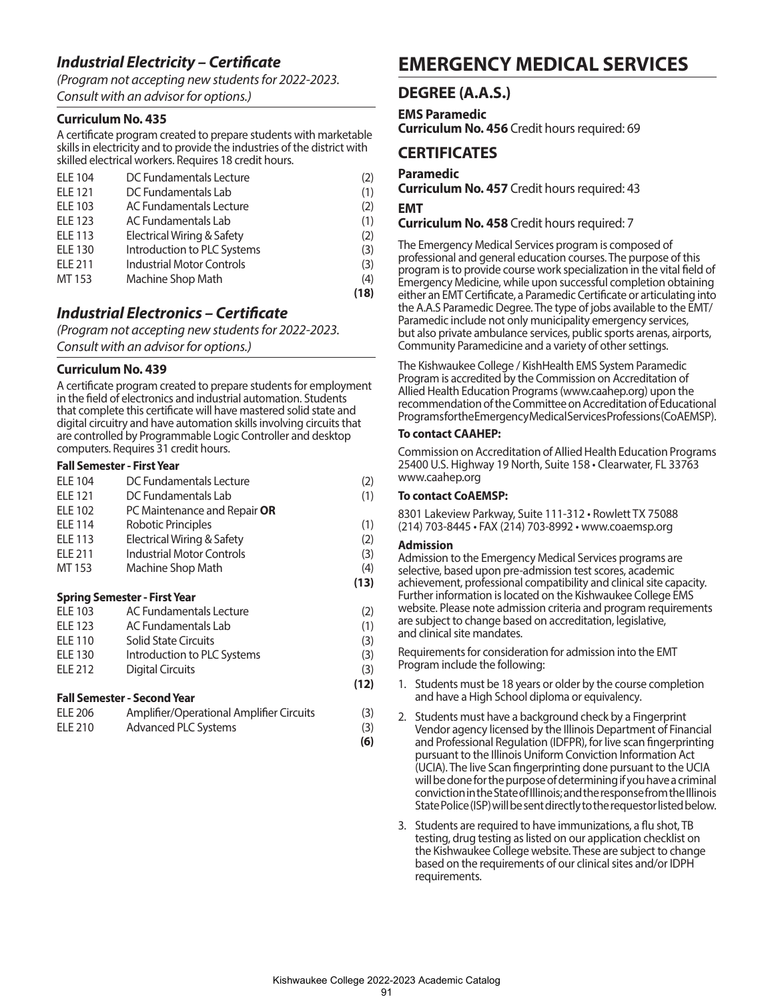## *Industrial Electricity – Certificate*

*(Program not accepting new students for 2022-2023. Consult with an advisor for options.)*

#### **Curriculum No. 435**

A certificate program created to prepare students with marketable skills in electricity and to provide the industries of the district with skilled electrical workers. Requires 18 credit hours.

| <b>ELE 104</b> | DC Fundamentals Lecture          | (2)  |
|----------------|----------------------------------|------|
| <b>ELE 121</b> | DC Fundamentals Lab              | (1)  |
| <b>ELE 103</b> | AC Fundamentals Lecture          | (2)  |
| <b>ELE 123</b> | AC Fundamentals Lab              | (1)  |
| <b>ELE 113</b> | Electrical Wiring & Safety       | (2)  |
| <b>ELE 130</b> | Introduction to PLC Systems      | (3)  |
| <b>ELE 211</b> | <b>Industrial Motor Controls</b> | (3)  |
| MT 153         | Machine Shop Math                | (4)  |
|                |                                  | (18) |

## *Industrial Electronics – Certificate*

*(Program not accepting new students for 2022-2023. Consult with an advisor for options.)*

#### **Curriculum No. 439**

A certificate program created to prepare students for employment in the field of electronics and industrial automation. Students that complete this certificate will have mastered solid state and digital circuitry and have automation skills involving circuits that are controlled by Programmable Logic Controller and desktop computers. Requires 31 credit hours.

#### **Fall Semester - First Year**

|                | <b>Spring Semester - First Year</b> |      |
|----------------|-------------------------------------|------|
|                |                                     | (13) |
| MT 153         | Machine Shop Math                   | (4)  |
| <b>ELE 211</b> | <b>Industrial Motor Controls</b>    | (3)  |
| <b>ELE 113</b> | Electrical Wiring & Safety          | (2)  |
| <b>ELE 114</b> | Robotic Principles                  | (1)  |
| <b>ELE 102</b> | PC Maintenance and Repair OR        |      |
| <b>ELE 121</b> | DC Fundamentals Lab                 | (1)  |
| <b>ELE 104</b> | DC Fundamentals Lecture             | (2)  |
|                |                                     |      |

| <b>ELE 103</b>     | AC Fundamentals Lecture     | (2)  |
|--------------------|-----------------------------|------|
| FIF <sub>123</sub> | AC Fundamentals Lab         | (1)  |
| ELE 110            | <b>Solid State Circuits</b> | (3)  |
| ELE 130            | Introduction to PLC Systems | (3)  |
| FIF 212            | Digital Circuits            | (3)  |
|                    |                             | (12) |

**(6)**

#### **Fall Semester - Second Year**

| ELE 206 | Amplifier/Operational Amplifier Circuits | (3) |
|---------|------------------------------------------|-----|
| ELE 210 | Advanced PLC Systems                     | (3) |

## **EMERGENCY MEDICAL SERVICES**

## **DEGREE (A.A.S.)**

**EMS Paramedic** 

**Curriculum No. 456** Credit hours required: 69

### **CERTIFICATES**

**Paramedic**

**Curriculum No. 457** Credit hours required: 43 **EMT**

**Curriculum No. 458** Credit hours required: 7

The Emergency Medical Services program is composed of professional and general education courses. The purpose of this program is to provide course work specialization in the vital field of Emergency Medicine, while upon successful completion obtaining either an EMT Certificate, a Paramedic Certificate or articulating into the A.A.S Paramedic Degree. The type of jobs available to the EMT/ Paramedic include not only municipality emergency services, but also private ambulance services, public sports arenas, airports, Community Paramedicine and a variety of other settings.

The Kishwaukee College / KishHealth EMS System Paramedic Program is accredited by the Commission on Accreditation of Allied Health Education Programs (www.caahep.org) upon the recommendation of the Committee on Accreditation of Educational Programs for the Emergency Medical Services Professions (CoAEMSP).

#### **To contact CAAHEP:**

Commission on Accreditation of Allied Health Education Programs 25400 U.S. Highway 19 North, Suite 158 • Clearwater, FL 33763 www.caahep.org

#### **To contact CoAEMSP:**

8301 Lakeview Parkway, Suite 111-312 • Rowlett TX 75088 (214) 703-8445 • FAX (214) 703-8992 • www.coaemsp.org

#### **Admission**

Admission to the Emergency Medical Services programs are selective, based upon pre-admission test scores, academic achievement, professional compatibility and clinical site capacity. Further information is located on the Kishwaukee College EMS website. Please note admission criteria and program requirements are subject to change based on accreditation, legislative, and clinical site mandates.

Requirements for consideration for admission into the EMT Program include the following:

- 1. Students must be 18 years or older by the course completion and have a High School diploma or equivalency.
- 2. Students must have a background check by a Fingerprint Vendor agency licensed by the Illinois Department of Financial and Professional Regulation (IDFPR), for live scan fingerprinting pursuant to the Illinois Uniform Conviction Information Act (UCIA). The live Scan fingerprinting done pursuant to the UCIA will be done for the purpose of determining if you have a criminal conviction in the State of Illinois; and the response from the Illinois State Police (ISP) will be sent directly to the requestor listed below.
- 3. Students are required to have immunizations, a flu shot, TB testing, drug testing as listed on our application checklist on the Kishwaukee College website. These are subject to change based on the requirements of our clinical sites and/or IDPH requirements.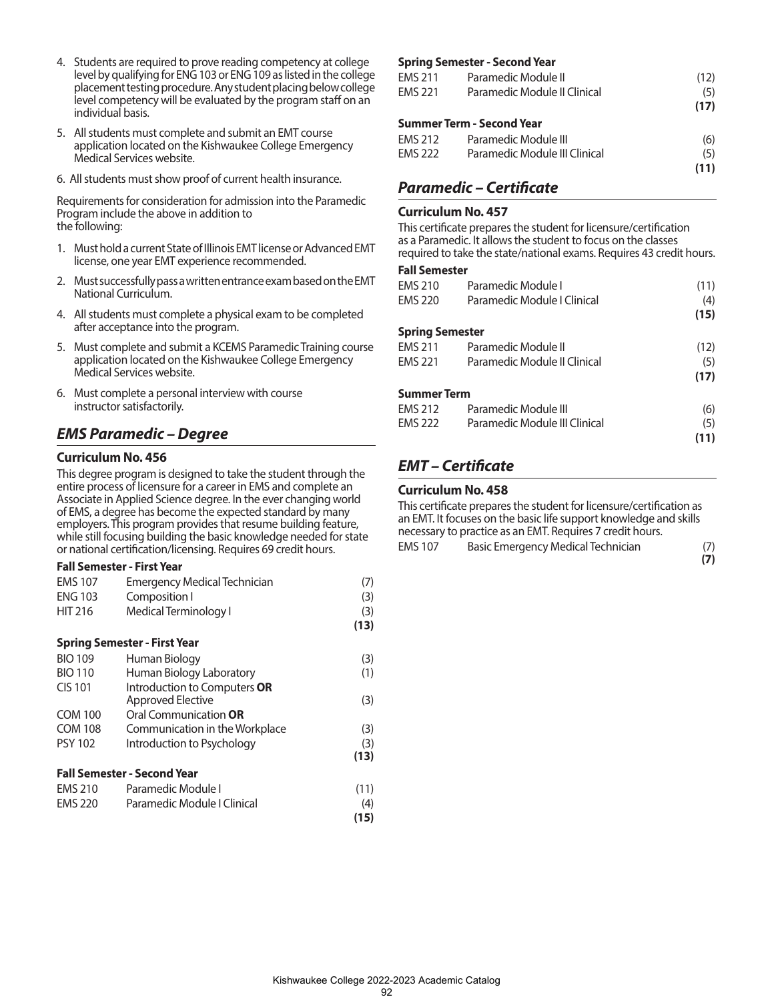- 4. Students are required to prove reading competency at college level by qualifying for ENG 103 or ENG 109 as listed in the college placement testing procedure. Any student placing below college level competency will be evaluated by the program staff on an individual basis.
- 5. All students must complete and submit an EMT course application located on the Kishwaukee College Emergency Medical Services website.
- 6. All students must show proof of current health insurance.

Requirements for consideration for admission into the Paramedic Program include the above in addition to the following:

- 1. Must hold a current State of Illinois EMT license or Advanced EMT license, one year EMT experience recommended.
- 2. Must successfully pass a written entrance exam based on the EMT National Curriculum.
- 4. All students must complete a physical exam to be completed after acceptance into the program.
- 5. Must complete and submit a KCEMS Paramedic Training course application located on the Kishwaukee College Emergency Medical Services website.
- 6. Must complete a personal interview with course instructor satisfactorily.

## *EMS Paramedic – Degree*

#### **Curriculum No. 456**

This degree program is designed to take the student through the entire process of licensure for a career in EMS and complete an Associate in Applied Science degree. In the ever changing world of EMS, a degree has become the expected standard by many employers. This program provides that resume building feature, while still focusing building the basic knowledge needed for state or national certification/licensing. Requires 69 credit hours.

#### **Fall Semester - First Year**

| <b>EMS 107</b> | <b>Emergency Medical Technician</b> | (7)  |
|----------------|-------------------------------------|------|
| <b>ENG 103</b> | Composition I                       | (3)  |
| <b>HIT 216</b> | Medical Terminology I               | (3)  |
|                |                                     | (13) |
|                | <b>Spring Semester - First Year</b> |      |
| <b>BIO 109</b> | Human Biology                       | (3)  |
| <b>BIO 110</b> | Human Biology Laboratory            | (1)  |
| <b>CIS 101</b> | Introduction to Computers OR        |      |
|                | Approved Elective                   | (3)  |
| <b>COM 100</b> | Oral Communication OR               |      |
| <b>COM 108</b> | Communication in the Workplace      | (3)  |
| <b>PSY 102</b> | Introduction to Psychology          | (3)  |
|                |                                     | (13) |
|                | Fall Semester - Second Year         |      |
| <b>EMS 210</b> | Paramedic Module I                  | (11) |
| <b>EMS 220</b> | Paramedic Module I Clinical         | (4)  |
|                |                                     | (15) |

#### **Spring Semester - Second Year**

| EMS 211 | Paramedic Module II           | (12) |
|---------|-------------------------------|------|
| EMS 221 | Paramedic Module II Clinical  | (5)  |
|         |                               | (17) |
|         | Summer Term - Second Year     |      |
| EMS 212 | Paramedic Module III          | (6)  |
| EMS 222 | Paramedic Module III Clinical | (5)  |
|         |                               | (11) |

## *Paramedic – Certificate*

#### **Curriculum No. 457**

This certificate prepares the student for licensure/certification as a Paramedic. It allows the student to focus on the classes required to take the state/national exams. Requires 43 credit hours.

#### **Fall Semester**

| <b>EMS 210</b>         | Paramedic Module I            | (11) |
|------------------------|-------------------------------|------|
| <b>EMS 220</b>         | Paramedic Module   Clinical   | (4)  |
|                        |                               | (15) |
| <b>Spring Semester</b> |                               |      |
| <b>EMS 211</b>         | Paramedic Module II           | (12) |
| <b>EMS 221</b>         | Paramedic Module II Clinical  | (5)  |
|                        |                               | (17) |
| <b>Summer Term</b>     |                               |      |
| <b>EMS 212</b>         | Paramedic Module III          | (6)  |
| <b>EMS 222</b>         | Paramedic Module III Clinical | (5)  |
|                        |                               | (11) |
|                        |                               |      |

## *EMT – Certificate*

### **Curriculum No. 458**

This certificate prepares the student for licensure/certification as an EMT. It focuses on the basic life support knowledge and skills necessary to practice as an EMT. Requires 7 credit hours. EMS 107 Basic Emergency Medical Technician (7) **(7)**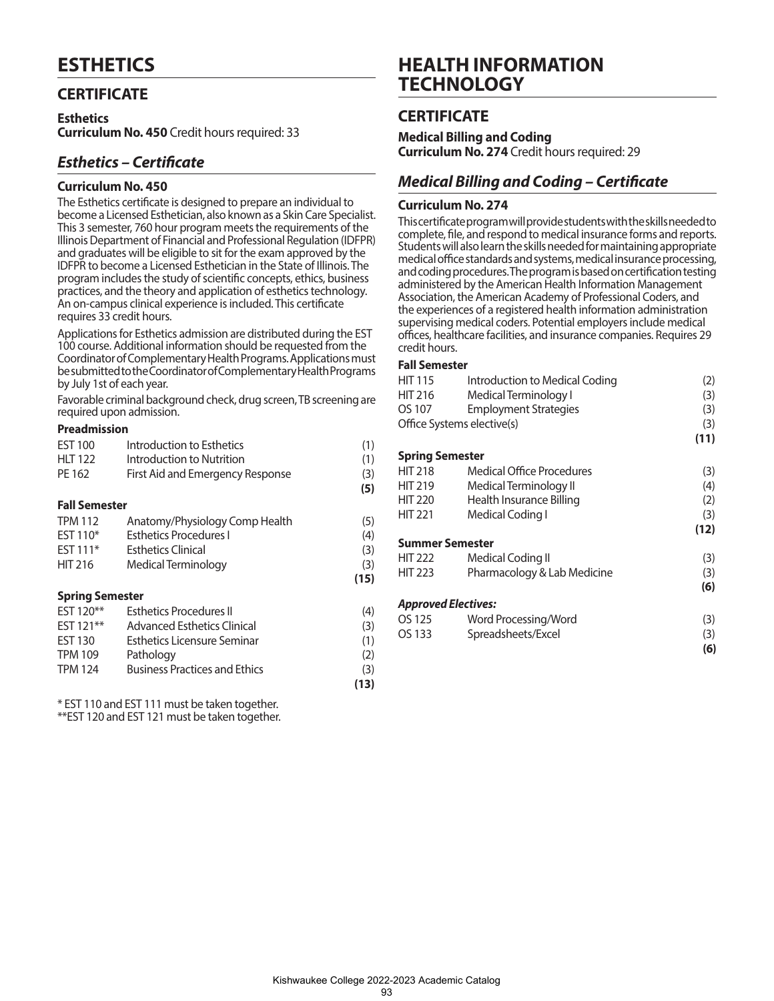## **CERTIFICATE**

**Esthetics Curriculum No. 450** Credit hours required: 33

## *Esthetics – Certificate*

#### **Curriculum No. 450**

The Esthetics certificate is designed to prepare an individual to become a Licensed Esthetician, also known as a Skin Care Specialist. This 3 semester, 760 hour program meets the requirements of the Illinois Department of Financial and Professional Regulation (IDFPR) and graduates will be eligible to sit for the exam approved by the IDFPR to become a Licensed Esthetician in the State of Illinois. The program includes the study of scientific concepts, ethics, business practices, and the theory and application of esthetics technology. An on-campus clinical experience is included. This certificate requires 33 credit hours.

Applications for Esthetics admission are distributed during the EST 100 course. Additional information should be requested from the Coordinator of Complementary Health Programs. Applications must be submitted to the Coordinator of Complementary Health Programs by July 1st of each year.

Favorable criminal background check, drug screen, TB screening are required upon admission.

#### **Preadmission**

| <b>EST 100</b>         | Introduction to Esthetics            | (1)  |
|------------------------|--------------------------------------|------|
| <b>HLT 122</b>         | Introduction to Nutrition            | (1)  |
| PE 162                 | First Aid and Emergency Response     | (3)  |
|                        |                                      | (5)  |
| <b>Fall Semester</b>   |                                      |      |
| <b>TPM 112</b>         | Anatomy/Physiology Comp Health       | (5)  |
| EST 110*               | <b>Esthetics Procedures I</b>        | (4)  |
| EST 111*               | <b>Esthetics Clinical</b>            | (3)  |
| <b>HIT 216</b>         | Medical Terminology                  | (3)  |
|                        |                                      | (15) |
| <b>Spring Semester</b> |                                      |      |
| EST 120**              | <b>Esthetics Procedures II</b>       | (4)  |
| EST 121**              | Advanced Esthetics Clinical          | (3)  |
| <b>EST 130</b>         | <b>Esthetics Licensure Seminar</b>   | (1)  |
| <b>TPM 109</b>         | Pathology                            | (2)  |
| <b>TPM 124</b>         | <b>Business Practices and Ethics</b> | (3)  |

 **(13)**

\* EST 110 and EST 111 must be taken together.

\*\*EST 120 and EST 121 must be taken together.

## **HEALTH INFORMATION TECHNOLOGY**

## **CERTIFICATE**

**Medical Billing and Coding Curriculum No. 274** Credit hours required: 29

## *Medical Billing and Coding – Certificate*

#### **Curriculum No. 274**

This certificate program will provide students with the skills needed to complete, file, and respond to medical insurance forms and reports. Students will also learn the skills needed for maintaining appropriate medical office standards and systems, medical insurance processing, and coding procedures. The program is based on certification testing administered by the American Health Information Management Association, the American Academy of Professional Coders, and the experiences of a registered health information administration supervising medical coders. Potential employers include medical offices, healthcare facilities, and insurance companies. Requires 29 credit hours.

#### **Fall Semester**

| <b>HIT 115</b>             | Introduction to Medical Coding | (2)  |
|----------------------------|--------------------------------|------|
| HIT 216                    | Medical Terminology I          | (3)  |
| OS 107                     | <b>Employment Strategies</b>   | (3)  |
|                            | Office Systems elective(s)     | (3)  |
|                            |                                | (11) |
| <b>Spring Semester</b>     |                                |      |
| <b>HIT 218</b>             | Medical Office Procedures      | (3)  |
| <b>HIT 219</b>             | Medical Terminology II         | (4)  |
| HIT 220                    | Health Insurance Billing       | (2)  |
| <b>HIT 221</b>             | Medical Coding I               | (3)  |
|                            |                                | (12) |
| <b>Summer Semester</b>     |                                |      |
| HIT 222                    | Medical Coding II              | (3)  |
| HIT 223                    | Pharmacology & Lab Medicine    | (3)  |
|                            |                                | (6)  |
| <b>Approved Electives:</b> |                                |      |
| OS 125                     | Word Processing/Word           | (3)  |
| OS 133                     | Spreadsheets/Excel             | (3)  |
|                            |                                | (6)  |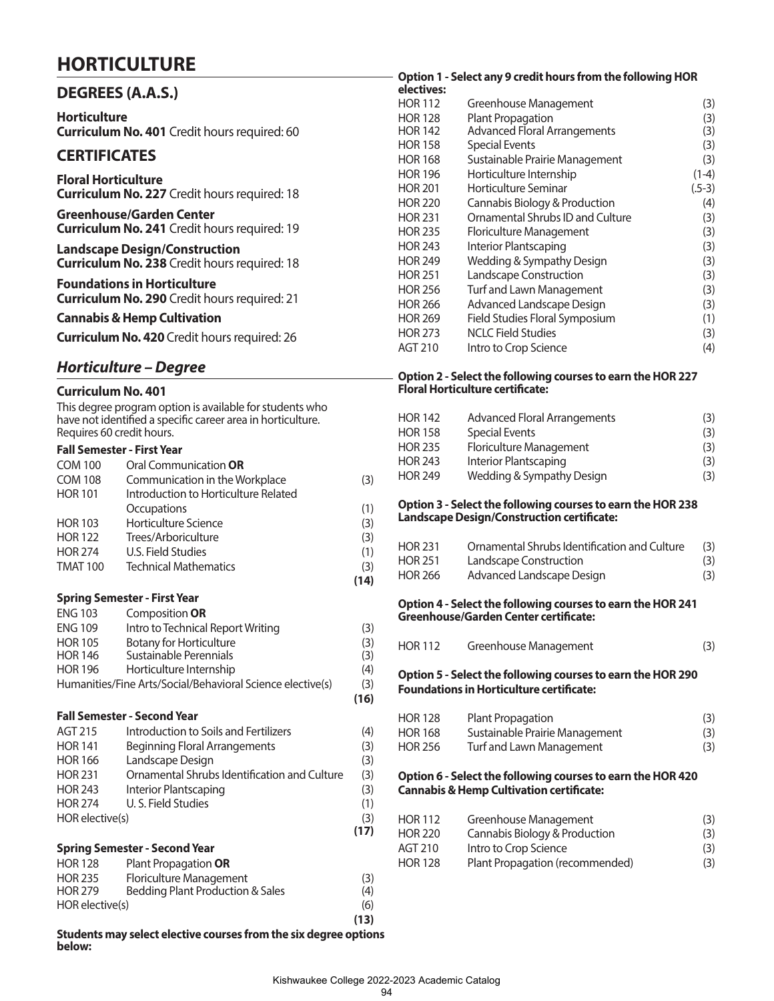## **HORTICULTURE**

| <b>DEGREES (A.A.S.)</b>                                                                     |
|---------------------------------------------------------------------------------------------|
| <b>Horticulture</b><br><b>Curriculum No. 401</b> Credit hours required: 60                  |
| <b>CERTIFICATES</b>                                                                         |
| <b>Floral Horticulture</b><br><b>Curriculum No. 227</b> Credit hours required: 18           |
| <b>Greenhouse/Garden Center</b><br><b>Curriculum No. 241</b> Credit hours required: 19      |
| <b>Landscape Design/Construction</b><br><b>Curriculum No. 238</b> Credit hours required: 18 |
| <b>Foundations in Horticulture</b><br><b>Curriculum No. 290</b> Credit hours required: 21   |
| <b>Cannabis &amp; Hemp Cultivation</b>                                                      |
| <b>Curriculum No. 420</b> Credit hours required: 26                                         |
|                                                                                             |

## *Horticulture – Degree*

#### **Curriculum No. 401**

This degree program option is available for students who have not identified a specific career area in horticulture. Requires 60 credit hours.

#### **Fall Semester - First Year**

| <b>COM 100</b>  | Oral Communication <b>OR</b>         |     |
|-----------------|--------------------------------------|-----|
| <b>COM 108</b>  | Communication in the Workplace       | (3) |
| <b>HOR 101</b>  | Introduction to Horticulture Related |     |
|                 | Occupations                          | (1) |
| <b>HOR 103</b>  | Horticulture Science                 | (3) |
| <b>HOR 122</b>  | Trees/Arboriculture                  | (3) |
| <b>HOR 274</b>  | U.S. Field Studies                   | (1) |
| <b>TMAT 100</b> | <b>Technical Mathematics</b>         | (3) |
|                 |                                      | 14) |

#### **Spring Semester - First Year**

| <b>ENG 103</b> | Composition OR                                             |     |
|----------------|------------------------------------------------------------|-----|
| <b>ENG 109</b> | Intro to Technical Report Writing                          | (3) |
| <b>HOR 105</b> | <b>Botany for Horticulture</b>                             | (3) |
| <b>HOR 146</b> | Sustainable Perennials                                     | (3) |
| <b>HOR 196</b> | Horticulture Internship                                    | (4) |
|                | Humanities/Fine Arts/Social/Behavioral Science elective(s) | (3) |

 **(16)**

#### **Fall Semester - Second Year**

| AGT 215         | Introduction to Soils and Fertilizers        | (4)  |
|-----------------|----------------------------------------------|------|
| <b>HOR 141</b>  | Beginning Floral Arrangements                | (3)  |
| <b>HOR 166</b>  | Landscape Design                             | (3)  |
| <b>HOR 231</b>  | Ornamental Shrubs Identification and Culture | (3)  |
| <b>HOR 243</b>  | Interior Plantscaping                        | (3)  |
| <b>HOR 274</b>  | U. S. Field Studies                          | (1)  |
| HOR elective(s) |                                              | (3)  |
|                 |                                              | (17) |

#### **Spring Semester - Second Year**

| <b>HOR 128</b>  | Plant Propagation OR             |      |
|-----------------|----------------------------------|------|
| <b>HOR 235</b>  | Floriculture Management          | (3)  |
| <b>HOR 279</b>  | Bedding Plant Production & Sales | (4)  |
| HOR elective(s) |                                  | (6)  |
|                 |                                  | (13) |

#### **Students may select elective courses from the six degree options below:**

### **Option 1 - Select any 9 credit hours from the following HOR**

| electives:     |                                     |          |
|----------------|-------------------------------------|----------|
| <b>HOR 112</b> | Greenhouse Management               | (3)      |
| <b>HOR 128</b> | <b>Plant Propagation</b>            | (3)      |
| HOR 142        | <b>Advanced Floral Arrangements</b> | (3)      |
| HOR 158        | <b>Special Events</b>               | (3)      |
| HOR 168        | Sustainable Prairie Management      | (3)      |
| HOR 196        | Horticulture Internship             | $(1-4)$  |
| <b>HOR 201</b> | Horticulture Seminar                | $(.5-3)$ |
| HOR 220        | Cannabis Biology & Production       | (4)      |
| HOR 231        | Ornamental Shrubs ID and Culture    | (3)      |
| <b>HOR 235</b> | Floriculture Management             | (3)      |
| <b>HOR 243</b> | Interior Plantscaping               | (3)      |
| HOR 249        | Wedding & Sympathy Design           | (3)      |
| HOR 251        | Landscape Construction              | (3)      |
| HOR 256        | Turf and Lawn Management            | (3)      |
| HOR 266        | Advanced Landscape Design           | (3)      |
| HOR 269        | Field Studies Floral Symposium      | (1)      |
| HOR 273        | <b>NCLC Field Studies</b>           | (3)      |
| AGT 210        | Intro to Crop Science               | (4)      |

#### **Option 2 - Select the following courses to earn the HOR 227 Floral Horticulture certificate:**

| <b>HOR 142</b> | <b>Advanced Floral Arrangements</b> | (3) |
|----------------|-------------------------------------|-----|
| <b>HOR 158</b> | Special Events                      | (3) |
| HOR 235        | Floriculture Management             | (3) |
| <b>HOR 243</b> | Interior Plantscaping               | (3) |
| <b>HOR 249</b> | Wedding & Sympathy Design           | (3) |
|                |                                     |     |

#### **Option 3 - Select the following courses to earn the HOR 238 Landscape Design/Construction certificate:**

| <b>HOR 231</b> | Ornamental Shrubs Identification and Culture | (3) |
|----------------|----------------------------------------------|-----|
| <b>HOR 251</b> | <b>Landscape Construction</b>                | (3) |
| <b>HOR 266</b> | Advanced Landscape Design                    | (3) |

#### **Option 4 - Select the following courses to earn the HOR 241 Greenhouse/Garden Center certificate:**

| <b>HOR 112</b> | Greenhouse Management |  |
|----------------|-----------------------|--|
|                |                       |  |

#### **Option 5 - Select the following courses to earn the HOR 290 Foundations in Horticulture certificate:**

| <b>HOR 128</b> | Plant Propagation              | (3) |
|----------------|--------------------------------|-----|
| <b>HOR 168</b> | Sustainable Prairie Management | (3) |
| <b>HOR 256</b> | Turf and Lawn Management       | (3) |

#### **Option 6 - Select the following courses to earn the HOR 420 Cannabis & Hemp Cultivation certificate:**

| HOR 112        | Greenhouse Management           | (3) |
|----------------|---------------------------------|-----|
| <b>HOR 220</b> | Cannabis Biology & Production   | (3) |
| AGT 210        | Intro to Crop Science           | (3) |
| HOR 128        | Plant Propagation (recommended) | (3) |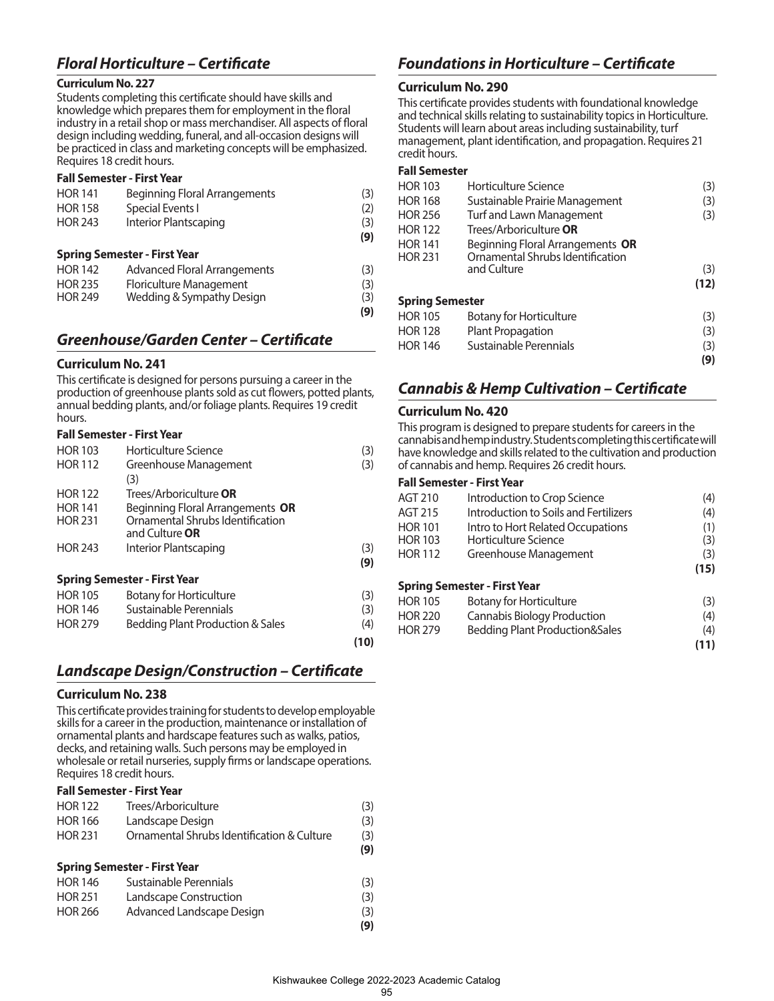## *Floral Horticulture – Certificate*

#### **Curriculum No. 227**

Students completing this certificate should have skills and knowledge which prepares them for employment in the floral industry in a retail shop or mass merchandiser. All aspects of floral design including wedding, funeral, and all-occasion designs will be practiced in class and marketing concepts will be emphasized. Requires 18 credit hours.

#### **Fall Semester - First Year**

| <b>HOR 141</b><br><b>HOR 158</b><br><b>HOR 243</b> | <b>Beginning Floral Arrangements</b><br>Special Events I<br><b>Interior Plantscaping</b> | (3)<br>(2)<br>(3)<br>(9) |
|----------------------------------------------------|------------------------------------------------------------------------------------------|--------------------------|
|                                                    | <b>Spring Semester - First Year</b>                                                      |                          |
| <b>HOR 142</b>                                     | <b>Advanced Floral Arrangements</b>                                                      | (3)                      |
| <b>HOR 235</b>                                     | Floriculture Management                                                                  | (3)                      |
| <b>HOR 249</b>                                     | Wedding & Sympathy Design                                                                | (3)                      |
|                                                    |                                                                                          | (9)                      |

## *Greenhouse/Garden Center – Certificate*

#### **Curriculum No. 241**

This certificate is designed for persons pursuing a career in the production of greenhouse plants sold as cut flowers, potted plants, annual bedding plants, and/or foliage plants. Requires 19 credit hours.

#### **Fall Semester - First Year**

| <b>HOR 103</b> | Horticulture Science                        | (3) |
|----------------|---------------------------------------------|-----|
| <b>HOR 112</b> | Greenhouse Management                       | (3) |
|                | (3)                                         |     |
| <b>HOR 122</b> | Trees/Arboriculture <b>OR</b>               |     |
| <b>HOR 141</b> | Beginning Floral Arrangements OR            |     |
| <b>HOR 231</b> | Ornamental Shrubs Identification            |     |
|                | and Culture OR                              |     |
| <b>HOR 243</b> | Interior Plantscaping                       | (3) |
|                |                                             | (9) |
|                | <b>Spring Semester - First Year</b>         |     |
| <b>HOR 105</b> | <b>Botany for Horticulture</b>              | (3) |
| <b>HOR 146</b> | Sustainable Perennials                      | (3) |
| <b>HOR 279</b> | <b>Bedding Plant Production &amp; Sales</b> | (4) |

### *Landscape Design/Construction – Certificate*

 **(10)**

#### **Curriculum No. 238**

This certificate provides training for students to develop employable skills for a career in the production, maintenance or installation of ornamental plants and hardscape features such as walks, patios, decks, and retaining walls. Such persons may be employed in wholesale or retail nurseries, supply firms or landscape operations. Requires 18 credit hours.

#### **Fall Semester - First Year**

| <b>Spring Semester - First Year</b> |                                            |     |
|-------------------------------------|--------------------------------------------|-----|
|                                     |                                            | (9) |
| <b>HOR 231</b>                      | Ornamental Shrubs Identification & Culture | (3) |
| <b>HOR 166</b>                      | Landscape Design                           | (3) |
| <b>HOR 122</b>                      | Trees/Arboriculture                        | (3) |

| <b>HOR 146</b> | Sustainable Perennials    | (3) |
|----------------|---------------------------|-----|
| <b>HOR 251</b> | Landscape Construction    | (3) |
| <b>HOR 266</b> | Advanced Landscape Design | (3) |
|                |                           | (9) |

## *Foundations in Horticulture – Certificate*

#### **Curriculum No. 290**

This certificate provides students with foundational knowledge and technical skills relating to sustainability topics in Horticulture. Students will learn about areas including sustainability, turf management, plant identification, and propagation. Requires 21 credit hours.

#### **Fall Semester**

| <b>HOR 103</b>         | Horticulture Science                            | (3)  |
|------------------------|-------------------------------------------------|------|
| <b>HOR 168</b>         | Sustainable Prairie Management                  | (3)  |
| <b>HOR 256</b>         | Turf and Lawn Management                        | (3)  |
| <b>HOR 122</b>         | Trees/Arboriculture OR                          |      |
| <b>HOR 141</b>         | Beginning Floral Arrangements OR                |      |
| <b>HOR 231</b>         | Ornamental Shrubs Identification<br>and Culture | (3)  |
|                        |                                                 |      |
|                        |                                                 | (12) |
| <b>Spring Semester</b> |                                                 |      |
| <b>HOR 105</b>         | <b>Botany for Horticulture</b>                  | (3)  |
| <b>HOR 128</b>         | <b>Plant Propagation</b>                        | (3)  |
| <b>HOR 146</b>         | Sustainable Perennials                          | (3)  |
|                        |                                                 | (9)  |

## *Cannabis & Hemp Cultivation – Certificate*

#### **Curriculum No. 420**

This program is designed to prepare students for careers in the cannabis and hemp industry. Students completing this certificate will have knowledge and skills related to the cultivation and production of cannabis and hemp. Requires 26 credit hours.

| AGT 210        | Introduction to Crop Science              | (4)  |
|----------------|-------------------------------------------|------|
| AGT 215        | Introduction to Soils and Fertilizers     | (4)  |
| <b>HOR 101</b> | Intro to Hort Related Occupations         | (1)  |
| <b>HOR 103</b> | Horticulture Science                      | (3)  |
| HOR 112        | Greenhouse Management                     | (3)  |
|                |                                           | (15) |
|                | <b>Spring Semester - First Year</b>       |      |
| <b>HOR 105</b> | <b>Botany for Horticulture</b>            | (3)  |
| HOR 220        | <b>Cannabis Biology Production</b>        | (4)  |
| <b>HOR 279</b> | <b>Bedding Plant Production&amp;Sales</b> | (4)  |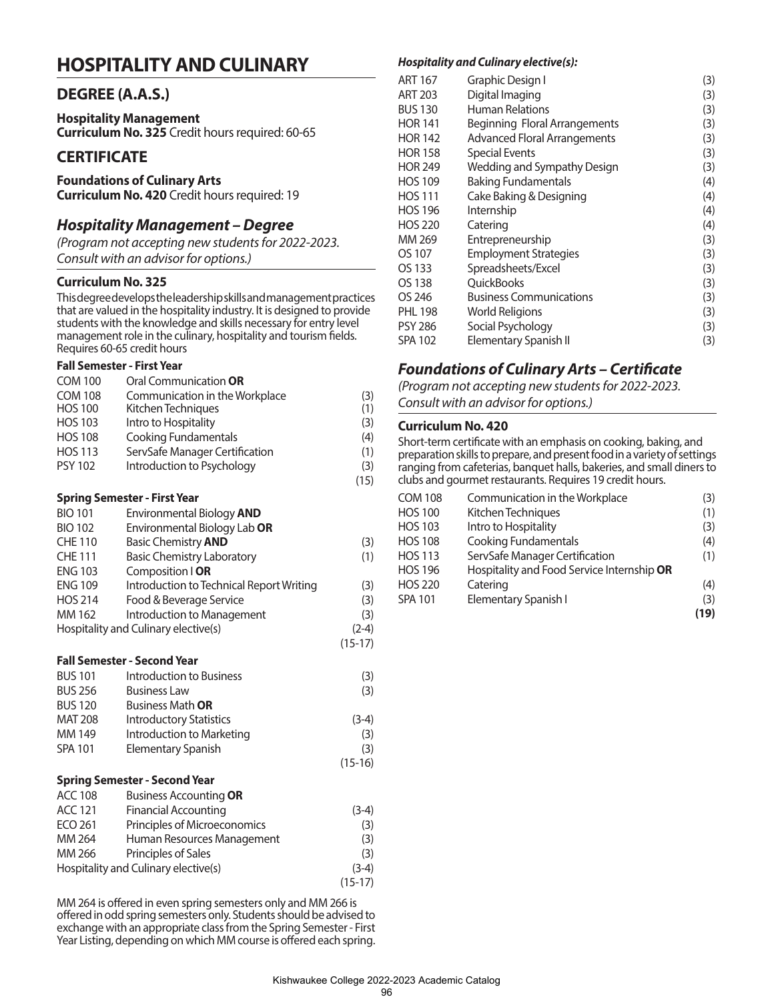## **HOSPITALITY AND CULINARY**

### **DEGREE (A.A.S.)**

**Hospitality Management Curriculum No. 325** Credit hours required: 60-65

## **CERTIFICATE**

## **Foundations of Culinary Arts**

**Curriculum No. 420** Credit hours required: 19

## *Hospitality Management – Degree*

*(Program not accepting new students for 2022-2023. Consult with an advisor for options.)*

#### **Curriculum No. 325**

This degree develops the leadership skills and management practices that are valued in the hospitality industry. It is designed to provide students with the knowledge and skills necessary for entry level management role in the culinary, hospitality and tourism fields. Requires 60-65 credit hours

#### **Fall Semester - First Year**

| <b>COM 100</b> | Oral Communication OR          |      |
|----------------|--------------------------------|------|
| <b>COM 108</b> | Communication in the Workplace | (3)  |
| <b>HOS 100</b> | Kitchen Techniques             | (1)  |
| <b>HOS 103</b> | Intro to Hospitality           | (3)  |
| <b>HOS 108</b> | <b>Cooking Fundamentals</b>    | (4)  |
| <b>HOS 113</b> | ServSafe Manager Certification | (1)  |
| <b>PSY 102</b> | Introduction to Psychology     | (3)  |
|                |                                | (15) |

#### **Spring Semester - First Year**

| <b>BIO 101</b>                       | Environmental Biology AND                |           |
|--------------------------------------|------------------------------------------|-----------|
| <b>BIO 102</b>                       | Environmental Biology Lab OR             |           |
| <b>CHE 110</b>                       | <b>Basic Chemistry AND</b>               | (3)       |
| <b>CHE 111</b>                       | <b>Basic Chemistry Laboratory</b>        | (1)       |
| <b>ENG 103</b>                       | Composition   OR                         |           |
| <b>ENG 109</b>                       | Introduction to Technical Report Writing | (3)       |
| <b>HOS 214</b>                       | Food & Beverage Service                  | (3)       |
| MM 162                               | Introduction to Management               | (3)       |
| Hospitality and Culinary elective(s) |                                          | $(2-4)$   |
|                                      |                                          | $(15-17)$ |

#### **Fall Semester - Second Year**

| <b>BUS 101</b> | Introduction to Business       | (3)       |
|----------------|--------------------------------|-----------|
| <b>BUS 256</b> | <b>Business Law</b>            | (3)       |
| <b>BUS 120</b> | Business Math <b>OR</b>        |           |
| <b>MAT 208</b> | <b>Introductory Statistics</b> | $(3-4)$   |
| MM 149         | Introduction to Marketing      | (3)       |
| SPA 101        | <b>Elementary Spanish</b>      | (3)       |
|                |                                | $(15-16)$ |

#### **Spring Semester - Second Year**

| <b>ACC 108</b>                       | <b>Business Accounting OR</b> |           |
|--------------------------------------|-------------------------------|-----------|
| <b>ACC 121</b>                       | <b>Financial Accounting</b>   | $(3-4)$   |
| ECO 261                              | Principles of Microeconomics  | (3)       |
| MM 264                               | Human Resources Management    | (3)       |
| MM 266                               | Principles of Sales           | (3)       |
| Hospitality and Culinary elective(s) |                               | $(3-4)$   |
|                                      |                               | $(15-17)$ |

MM 264 is offered in even spring semesters only and MM 266 is offered in odd spring semesters only. Students should be advised to exchange with an appropriate class from the Spring Semester - First Year Listing, depending on which MM course is offered each spring.

#### *Hospitality and Culinary elective(s):*

| ART 167        | Graphic Design I                    | (3) |
|----------------|-------------------------------------|-----|
| ART 203        | Digital Imaging                     | (3) |
| <b>BUS 130</b> | <b>Human Relations</b>              | (3) |
| HOR 141        | Beginning Floral Arrangements       | (3) |
| <b>HOR 142</b> | <b>Advanced Floral Arrangements</b> | (3) |
| HOR 158        | Special Events                      | (3) |
| HOR 249        | Wedding and Sympathy Design         | (3) |
| <b>HOS 109</b> | <b>Baking Fundamentals</b>          | (4) |
| <b>HOS 111</b> | Cake Baking & Designing             | (4) |
| HOS 196        | Internship                          | (4) |
| <b>HOS 220</b> | Catering                            | (4) |
| MM 269         | Entrepreneurship                    | (3) |
| OS 107         | <b>Employment Strategies</b>        | (3) |
| OS 133         | Spreadsheets/Excel                  | (3) |
| OS 138         | QuickBooks                          | (3) |
| OS 246         | <b>Business Communications</b>      | (3) |
| PHL 198        | World Religions                     | (3) |
| PSY 286        | Social Psychology                   | (3) |
| SPA 102        | <b>Elementary Spanish II</b>        | (3) |

## *Foundations of Culinary Arts – Certificate*

*(Program not accepting new students for 2022-2023. Consult with an advisor for options.)*

#### **Curriculum No. 420**

Short-term certificate with an emphasis on cooking, baking, and preparation skills to prepare, and present food in a variety of settings ranging from cafeterias, banquet halls, bakeries, and small diners to clubs and gourmet restaurants. Requires 19 credit hours.

| <b>COM 108</b> | Communication in the Workplace             | (3)  |
|----------------|--------------------------------------------|------|
| <b>HOS 100</b> | Kitchen Techniques                         | (1)  |
| <b>HOS 103</b> | Intro to Hospitality                       | (3)  |
| <b>HOS 108</b> | <b>Cooking Fundamentals</b>                | (4)  |
| <b>HOS 113</b> | ServSafe Manager Certification             | (1)  |
| <b>HOS 196</b> | Hospitality and Food Service Internship OR |      |
| <b>HOS 220</b> | Catering                                   | (4)  |
| <b>SPA 101</b> | Elementary Spanish I                       | (3)  |
|                |                                            | (19) |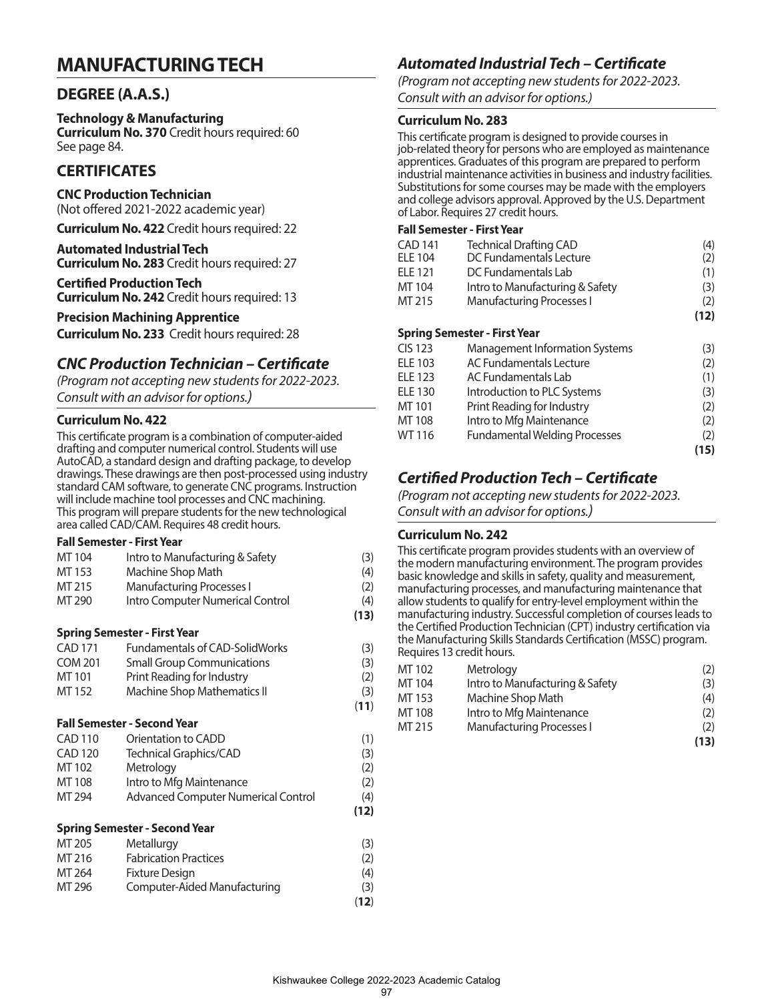## **MANUFACTURING TECH**

## **DEGREE (A.A.S.)**

#### **Technology & Manufacturing**

**Curriculum No. 370** Credit hours required: 60 See page 84.

## **CERTIFICATES**

**CNC Production Technician**  (Not offered 2021-2022 academic year)

**Curriculum No. 422** Credit hours required: 22

**Automated Industrial Tech Curriculum No. 283** Credit hours required: 27

**Certified Production Tech Curriculum No. 242** Credit hours required: 13

#### **Precision Machining Apprentice**

**Curriculum No. 233** Credit hours required: 28

## *CNC Production Technician – Certificate*

*(Program not accepting new students for 2022-2023. Consult with an advisor for options.)*

#### **Curriculum No. 422**

This certificate program is a combination of computer-aided drafting and computer numerical control. Students will use AutoCAD, a standard design and drafting package, to develop drawings. These drawings are then post-processed using industry standard CAM software, to generate CNC programs. Instruction will include machine tool processes and CNC machining. This program will prepare students for the new technological area called CAD/CAM. Requires 48 credit hours.

#### **Fall Semester - First Year**

| MT 104         | Intro to Manufacturing & Safety       | (3)  |
|----------------|---------------------------------------|------|
| MT 153         | Machine Shop Math                     | (4)  |
| MT 215         | <b>Manufacturing Processes I</b>      | (2)  |
| MT 290         | Intro Computer Numerical Control      | (4)  |
|                |                                       | (13) |
|                | <b>Spring Semester - First Year</b>   |      |
| <b>CAD 171</b> | <b>Fundamentals of CAD-SolidWorks</b> | (3)  |
| <b>COM 201</b> | <b>Small Group Communications</b>     | (3)  |
| MT 101         | Print Reading for Industry            | (2)  |
| MT 152         | <b>Machine Shop Mathematics II</b>    | (3)  |
|                |                                       | (11) |
|                | <b>Fall Semester - Second Year</b>    |      |
| <b>CAD 110</b> | Orientation to CADD                   | (1)  |
| <b>CAD 120</b> | Technical Graphics/CAD                | (3)  |
| MT 102         | Metrology                             | (2)  |
| MT 108         | Intro to Mfg Maintenance              | (2)  |
| MT 294         | Advanced Computer Numerical Control   | (4)  |
|                |                                       | (12) |
|                | <b>Spring Semester - Second Year</b>  |      |
| MT 205         | Metallurgy                            | (3)  |
| MT 216         | <b>Fabrication Practices</b>          | (2)  |
| MT 264         | <b>Fixture Design</b>                 | (4)  |
| MT 296         | Computer-Aided Manufacturing          | (3)  |

(**12**)

## *Automated Industrial Tech – Certificate*

*(Program not accepting new students for 2022-2023. Consult with an advisor for options.)*

### **Curriculum No. 283**

This certificate program is designed to provide courses in job-related theory for persons who are employed as maintenance apprentices. Graduates of this program are prepared to perform industrial maintenance activities in business and industry facilities. Substitutions for some courses may be made with the employers and college advisors approval. Approved by the U.S. Department of Labor. Requires 27 credit hours.

### **Fall Semester - First Year**

| <b>CAD 141</b> | <b>Technical Drafting CAD</b>         | (4)  |
|----------------|---------------------------------------|------|
| <b>ELE 104</b> | DC Fundamentals Lecture               | (2)  |
| <b>ELE 121</b> | DC Fundamentals Lab                   | (1)  |
| MT 104         | Intro to Manufacturing & Safety       | (3)  |
| MT 215         | <b>Manufacturing Processes I</b>      | (2)  |
|                |                                       | (12) |
|                | <b>Spring Semester - First Year</b>   |      |
| <b>CIS 123</b> | <b>Management Information Systems</b> | (3)  |
| <b>ELE 103</b> | AC Fundamentals Lecture               | (2)  |
| <b>ELE 123</b> | AC Fundamentals Lab                   | (1)  |
| <b>ELE 130</b> | Introduction to PLC Systems           | (3)  |
| MT 101         | Print Reading for Industry            | (2)  |
| MT 108         | Intro to Mfg Maintenance              | (2)  |
| WT 116         | <b>Fundamental Welding Processes</b>  | (2)  |
|                |                                       | (15) |

## *Certified Production Tech – Certificate*

*(Program not accepting new students for 2022-2023. Consult with an advisor for options.)*

### **Curriculum No. 242**

This certificate program provides students with an overview of the modern manufacturing environment. The program provides basic knowledge and skills in safety, quality and measurement, manufacturing processes, and manufacturing maintenance that allow students to qualify for entry-level employment within the manufacturing industry. Successful completion of courses leads to the Certified Production Technician (CPT) industry certification via the Manufacturing Skills Standards Certification (MSSC) program. Requires 13 credit hours.

| MT 102 | Metrology                        | (2)  |
|--------|----------------------------------|------|
| MT 104 | Intro to Manufacturing & Safety  | (3)  |
| MT 153 | Machine Shop Math                | (4)  |
| MT 108 | Intro to Mfg Maintenance         | (2)  |
| MT 215 | <b>Manufacturing Processes I</b> | (2)  |
|        |                                  | (13) |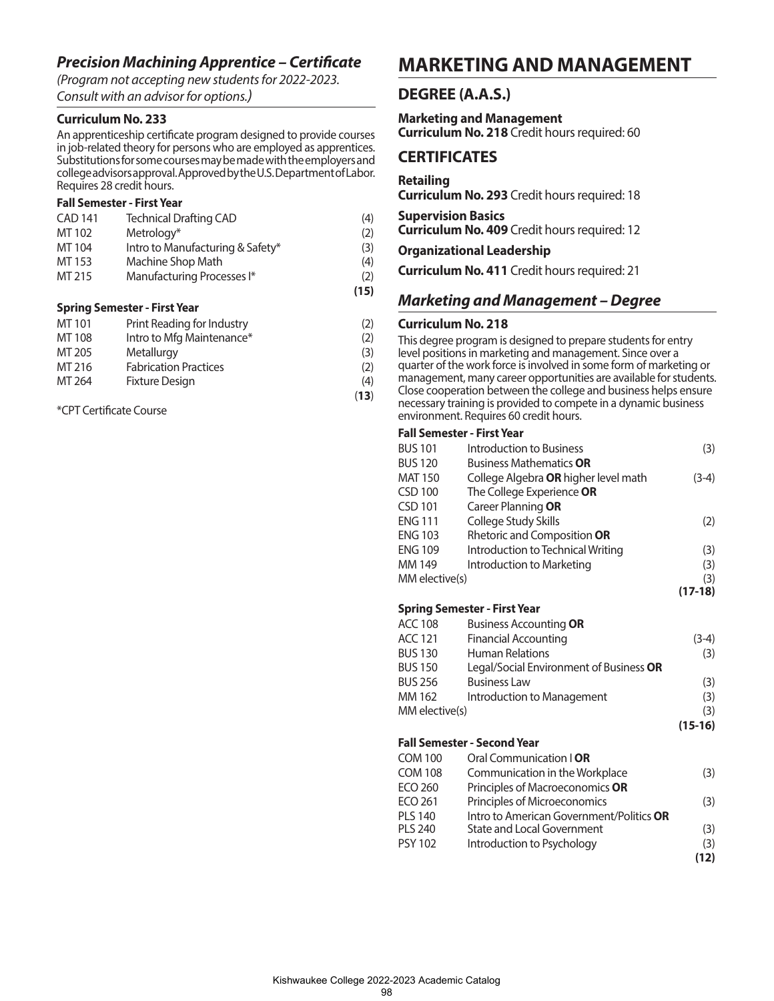## *Precision Machining Apprentice – Certificate*

*(Program not accepting new students for 2022-2023. Consult with an advisor for options.)*

#### **Curriculum No. 233**

An apprenticeship certificate program designed to provide courses in job-related theory for persons who are employed as apprentices. Substitutions for some courses may be made with the employers and college advisors approval. Approved by the U.S. Department of Labor. Requires 28 credit hours.

#### **Fall Semester - First Year**

|                | <b>Spring Semester - First Year</b> |      |
|----------------|-------------------------------------|------|
|                |                                     | (15) |
| MT 215         | Manufacturing Processes I*          | (2)  |
| MT 153         | Machine Shop Math                   | (4)  |
| MT 104         | Intro to Manufacturing & Safety*    | (3)  |
| MT 102         | Metrology*                          | (2)  |
| <b>CAD 141</b> | <b>Technical Drafting CAD</b>       | (4)  |

| MT 101 | Print Reading for Industry   | (2) |
|--------|------------------------------|-----|
| MT 108 | Intro to Mfg Maintenance*    | (2) |
| MT 205 | Metallurgy                   | (3) |
| MT 216 | <b>Fabrication Practices</b> | (2) |
| MT 264 | <b>Fixture Design</b>        | (4) |

 (**13**) \*CPT Certificate Course

## **MARKETING AND MANAGEMENT**

### **DEGREE (A.A.S.)**

**Marketing and Management Curriculum No. 218** Credit hours required: 60

### **CERTIFICATES**

#### **Retailing**

**Curriculum No. 293** Credit hours required: 18

**Supervision Basics**

**Curriculum No. 409** Credit hours required: 12

**Organizational Leadership**

**Curriculum No. 411** Credit hours required: 21

## *Marketing and Management – Degree*

#### **Curriculum No. 218**

This degree program is designed to prepare students for entry

level positions in marketing and management. Since over a

quarter of the work force is involved in some form of marketing or

management, many career opportunities are available for students. Close cooperation between the college and business helps ensure

necessary training is provided to compete in a dynamic business environment. Requires 60 credit hours.

#### **Fall Semester - First Year**

| <b>BUS 101</b> | Introduction to Business             | (3)       |
|----------------|--------------------------------------|-----------|
| <b>BUS 120</b> | <b>Business Mathematics OR</b>       |           |
| <b>MAT 150</b> | College Algebra OR higher level math | (3-4)     |
| <b>CSD 100</b> | The College Experience OR            |           |
| CSD 101        | Career Planning OR                   |           |
| <b>ENG 111</b> | College Study Skills                 | (2)       |
| <b>ENG 103</b> | Rhetoric and Composition OR          |           |
| <b>ENG 109</b> | Introduction to Technical Writing    | (3)       |
| MM 149         | Introduction to Marketing            | (3)       |
| MM elective(s) |                                      | (3)       |
|                |                                      | $(17-18)$ |

#### **Spring Semester - First Year**

| ACC 108        | <b>Business Accounting OR</b>           |           |
|----------------|-----------------------------------------|-----------|
| ACC 121        | <b>Financial Accounting</b>             | $(3-4)$   |
| BUS 130        | <b>Human Relations</b>                  | (3)       |
| <b>BUS 150</b> | Legal/Social Environment of Business OR |           |
| BUS 256        | <b>Business Law</b>                     | (3)       |
| MM 162         | Introduction to Management              | (3)       |
| MM elective(s) |                                         | (3)       |
|                |                                         | $(15-16)$ |

#### **Fall Semester - Second Year**

| COM 100        | Oral Communication   OR                  |      |
|----------------|------------------------------------------|------|
| COM 108        | Communication in the Workplace           | (3)  |
| ECO 260        | Principles of Macroeconomics OR          |      |
| ECO 261        | Principles of Microeconomics             | (3)  |
| <b>PLS 140</b> | Intro to American Government/Politics OR |      |
| <b>PLS 240</b> | State and Local Government               | (3)  |
| <b>PSY 102</b> | Introduction to Psychology               | (3)  |
|                |                                          | (12) |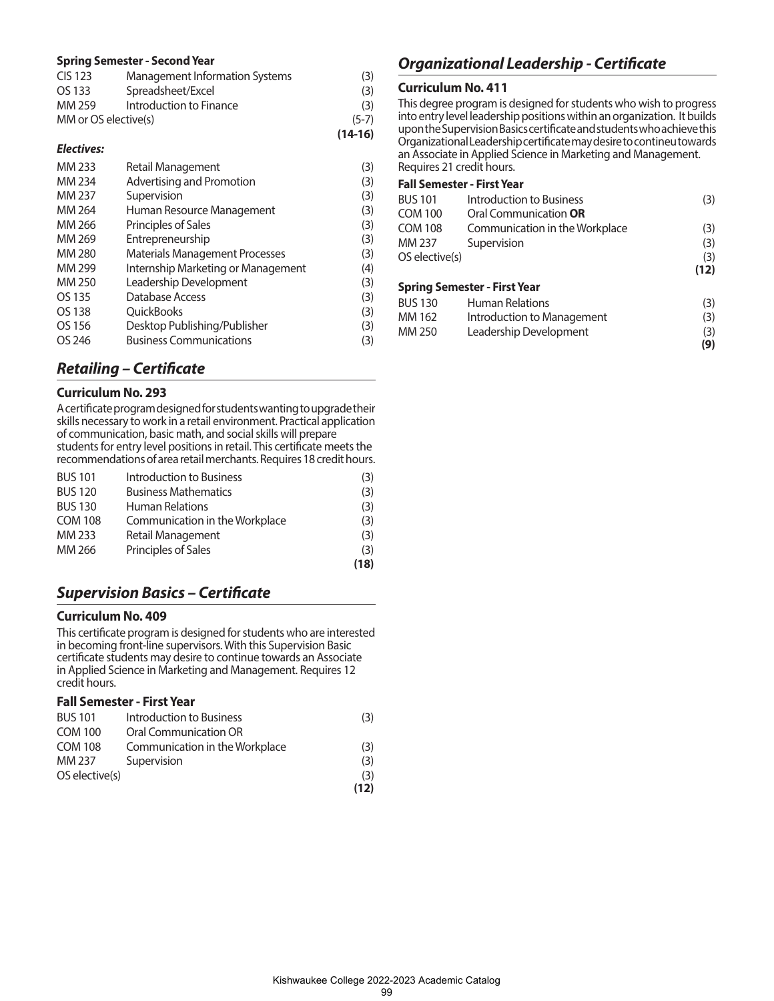#### **Spring Semester - Second Year**

|                      |                                | $(14-16)$ |
|----------------------|--------------------------------|-----------|
| MM or OS elective(s) |                                | $(5-7)$   |
| MM 259               | Introduction to Finance        | (3)       |
| OS 133               | Spreadsheet/Excel              | (3)       |
| CIS 123              | Management Information Systems | (3)       |

#### *Electives:*

| MM 233 | Retail Management                     | (3) |
|--------|---------------------------------------|-----|
| MM 234 | Advertising and Promotion             | (3) |
| MM 237 | Supervision                           | (3) |
| MM 264 | Human Resource Management             | (3) |
| MM 266 | Principles of Sales                   | (3) |
| MM 269 | Entrepreneurship                      | (3) |
| MM 280 | <b>Materials Management Processes</b> | (3) |
| MM 299 | Internship Marketing or Management    | (4) |
| MM 250 | Leadership Development                | (3) |
| OS 135 | Database Access                       | (3) |
| OS 138 | QuickBooks                            | (3) |
| OS 156 | Desktop Publishing/Publisher          | (3) |
| OS 246 | <b>Business Communications</b>        | (3) |

### *Retailing – Certificate*

#### **Curriculum No. 293**

A certificate program designed for students wanting to upgrade their skills necessary to work in a retail environment. Practical application of communication, basic math, and social skills will prepare students for entry level positions in retail. This certificate meets the recommendations of area retail merchants. Requires 18 credit hours.

| <b>BUS 101</b> | Introduction to Business       | (3)  |
|----------------|--------------------------------|------|
| <b>BUS 120</b> | <b>Business Mathematics</b>    | (3)  |
| <b>BUS 130</b> | <b>Human Relations</b>         | (3)  |
| <b>COM 108</b> | Communication in the Workplace | (3)  |
| MM 233         | Retail Management              | (3)  |
| MM 266         | Principles of Sales            | (3)  |
|                |                                | (18) |

## *Supervision Basics – Certificate*

#### **Curriculum No. 409**

This certificate program is designed for students who are interested in becoming front-line supervisors. With this Supervision Basic certificate students may desire to continue towards an Associate in Applied Science in Marketing and Management. Requires 12 credit hours.

#### **Fall Semester - First Year**

| <b>BUS 101</b> | Introduction to Business       | (3)  |
|----------------|--------------------------------|------|
| <b>COM 100</b> | Oral Communication OR          |      |
| <b>COM 108</b> | Communication in the Workplace | (3)  |
| MM 237         | Supervision                    | (3)  |
| OS elective(s) |                                | (3)  |
|                |                                | (12) |

## *Organizational Leadership - Certificate*

#### **Curriculum No. 411**

This degree program is designed for students who wish to progress into entry level leadership positions within an organization. It builds upon the Supervision Basics certificate and students who achieve this Organizational Leadership certificate may desire to contineu towards an Associate in Applied Science in Marketing and Management. Requires 21 credit hours.

| <b>BUS 101</b> | Introduction to Business            | (3)  |
|----------------|-------------------------------------|------|
| <b>COM 100</b> | Oral Communication <b>OR</b>        |      |
| <b>COM 108</b> | Communication in the Workplace      | (3)  |
| MM 237         | Supervision                         | (3)  |
| OS elective(s) |                                     | (3)  |
|                |                                     | (12) |
|                | <b>Spring Semester - First Year</b> |      |
| <b>BUS 130</b> | <b>Human Relations</b>              | (3)  |
| MM 162         | Introduction to Management          | (3)  |
| MM 250         | Leadership Development              | (3)  |
|                |                                     | (9)  |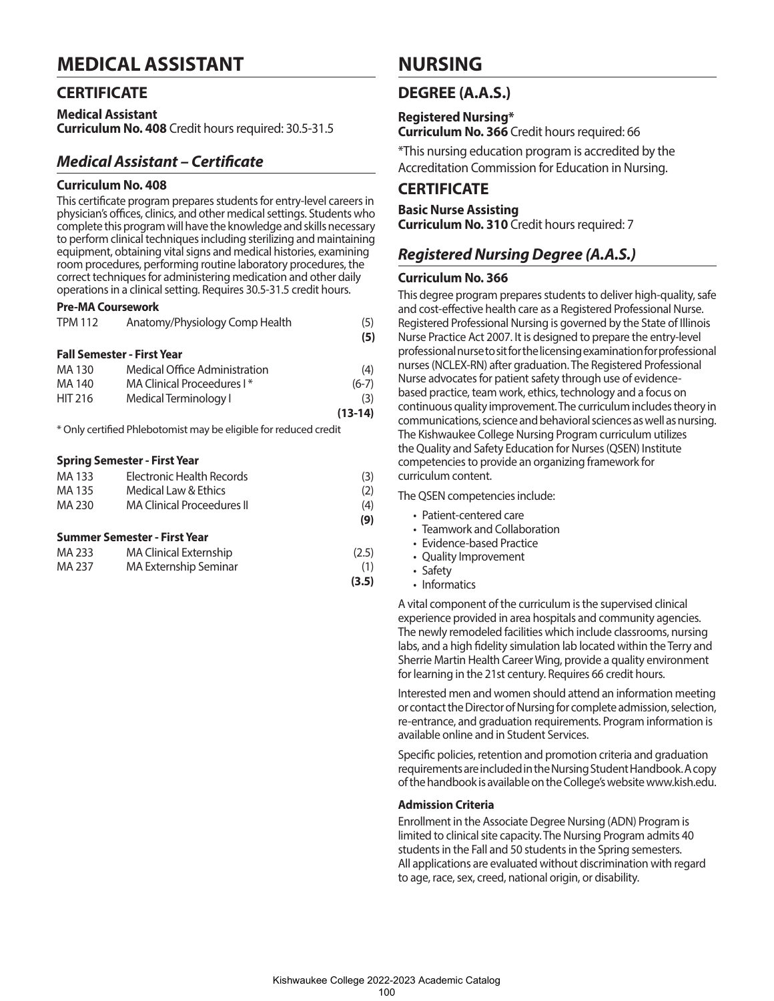## **MEDICAL ASSISTANT**

## **CERTIFICATE**

**Medical Assistant Curriculum No. 408** Credit hours required: 30.5-31.5

## *Medical Assistant – Certificate*

#### **Curriculum No. 408**

This certificate program prepares students for entry-level careers in physician's offices, clinics, and other medical settings. Students who complete this program will have the knowledge and skills necessary to perform clinical techniques including sterilizing and maintaining equipment, obtaining vital signs and medical histories, examining room procedures, performing routine laboratory procedures, the correct techniques for administering medication and other daily operations in a clinical setting. Requires 30.5-31.5 credit hours.

#### **Pre-MA Coursework**

| <b>TPM 112</b>                    | Anatomy/Physiology Comp Health                                   | (5)<br>(5) |
|-----------------------------------|------------------------------------------------------------------|------------|
| <b>Fall Semester - First Year</b> |                                                                  |            |
| MA 130                            | Medical Office Administration                                    | (4)        |
| MA 140                            | MA Clinical Proceedures I*                                       | $(6-7)$    |
| <b>HIT 216</b>                    | Medical Terminology I                                            | (3)        |
|                                   |                                                                  | $(13-14)$  |
|                                   | * Only certified Phlebotomist may be eligible for reduced credit |            |

#### **Spring Semester - First Year**

| MA 133 | Electronic Health Records         | (3) |
|--------|-----------------------------------|-----|
| MA 135 | Medical Law & Ethics              | (2) |
| MA 230 | <b>MA Clinical Proceedures II</b> | (4) |
|        |                                   | (9) |
|        | Summer Semester - First Year      |     |

| MA 233 | <b>MA Clinical Externship</b> | (2.5) |
|--------|-------------------------------|-------|
| MA 237 | MA Externship Seminar         | (1)   |
|        |                               | (3.5) |

## **NURSING**

## **DEGREE (A.A.S.)**

**Registered Nursing\* Curriculum No. 366** Credit hours required: 66

\*This nursing education program is accredited by the Accreditation Commission for Education in Nursing.

## **CERTIFICATE**

**Basic Nurse Assisting Curriculum No. 310** Credit hours required: 7

## *Registered Nursing Degree (A.A.S.)*

#### **Curriculum No. 366**

This degree program prepares students to deliver high-quality, safe and cost-effective health care as a Registered Professional Nurse. Registered Professional Nursing is governed by the State of Illinois Nurse Practice Act 2007. It is designed to prepare the entry-level professional nurse to sit for the licensing examination for professional nurses (NCLEX-RN) after graduation. The Registered Professional Nurse advocates for patient safety through use of evidencebased practice, team work, ethics, technology and a focus on continuous quality improvement. The curriculum includes theory in communications, science and behavioral sciences as well as nursing. The Kishwaukee College Nursing Program curriculum utilizes the Quality and Safety Education for Nurses (QSEN) Institute competencies to provide an organizing framework for curriculum content.

The QSEN competencies include:

- Patient-centered care
- Teamwork and Collaboration
- Evidence-based Practice
- Quality Improvement
- Safety
- Informatics

A vital component of the curriculum is the supervised clinical experience provided in area hospitals and community agencies. The newly remodeled facilities which include classrooms, nursing labs, and a high fidelity simulation lab located within the Terry and Sherrie Martin Health Career Wing, provide a quality environment for learning in the 21st century. Requires 66 credit hours.

Interested men and women should attend an information meeting or contact the Director of Nursing for complete admission, selection, re-entrance, and graduation requirements. Program information is available online and in Student Services.

Specific policies, retention and promotion criteria and graduation requirements are included in the Nursing Student Handbook. A copy of the handbook is available on the College's website www.kish.edu.

#### **Admission Criteria**

Enrollment in the Associate Degree Nursing (ADN) Program is limited to clinical site capacity. The Nursing Program admits 40 students in the Fall and 50 students in the Spring semesters. All applications are evaluated without discrimination with regard to age, race, sex, creed, national origin, or disability.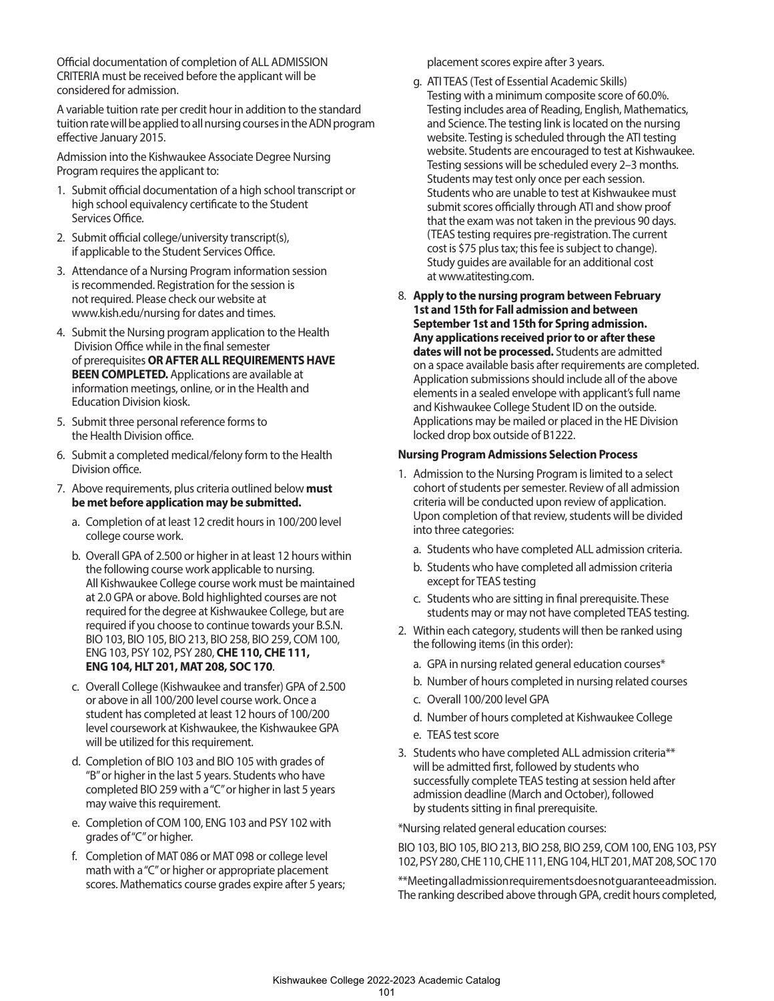Official documentation of completion of ALL ADMISSION CRITERIA must be received before the applicant will be considered for admission.

A variable tuition rate per credit hour in addition to the standard tuition rate will be applied to all nursing courses in the ADN program effective January 2015.

Admission into the Kishwaukee Associate Degree Nursing Program requires the applicant to:

- 1. Submit official documentation of a high school transcript or high school equivalency certificate to the Student Services Office.
- 2. Submit official college/university transcript(s), if applicable to the Student Services Office.
- 3. Attendance of a Nursing Program information session is recommended. Registration for the session is not required. Please check our website at www.kish.edu/nursing for dates and times.
- 4. Submit the Nursing program application to the Health Division Office while in the final semester of prerequisites **OR AFTER ALL REQUIREMENTS HAVE BEEN COMPLETED.** Applications are available at information meetings, online, or in the Health and Education Division kiosk.
- 5. Submit three personal reference forms to the Health Division office.
- 6. Submit a completed medical/felony form to the Health Division office.
- 7. Above requirements, plus criteria outlined below **must be met before application may be submitted.**
	- a. Completion of at least 12 credit hours in 100/200 level college course work.
	- b. Overall GPA of 2.500 or higher in at least 12 hours within the following course work applicable to nursing. All Kishwaukee College course work must be maintained at 2.0 GPA or above. Bold highlighted courses are not required for the degree at Kishwaukee College, but are required if you choose to continue towards your B.S.N. BIO 103, BIO 105, BIO 213, BIO 258, BIO 259, COM 100, ENG 103, PSY 102, PSY 280, **CHE 110, CHE 111, ENG 104, HLT 201, MAT 208, SOC 170**.
	- c. Overall College (Kishwaukee and transfer) GPA of 2.500 or above in all 100/200 level course work. Once a student has completed at least 12 hours of 100/200 level coursework at Kishwaukee, the Kishwaukee GPA will be utilized for this requirement.
	- d. Completion of BIO 103 and BIO 105 with grades of "B" or higher in the last 5 years. Students who have completed BIO 259 with a "C" or higher in last 5 years may waive this requirement.
	- e. Completion of COM 100, ENG 103 and PSY 102 with grades of "C" or higher.
	- f. Completion of MAT 086 or MAT 098 or college level math with a "C" or higher or appropriate placement scores. Mathematics course grades expire after 5 years;

placement scores expire after 3 years.

- g. ATI TEAS (Test of Essential Academic Skills) Testing with a minimum composite score of 60.0%. Testing includes area of Reading, English, Mathematics, and Science. The testing link is located on the nursing website. Testing is scheduled through the ATI testing website. Students are encouraged to test at Kishwaukee. Testing sessions will be scheduled every 2–3 months. Students may test only once per each session. Students who are unable to test at Kishwaukee must submit scores officially through ATI and show proof that the exam was not taken in the previous 90 days. (TEAS testing requires pre-registration. The current cost is \$75 plus tax; this fee is subject to change). Study guides are available for an additional cost at www.atitesting.com.
- 8. **Apply to the nursing program between February 1st and 15th for Fall admission and between September 1st and 15th for Spring admission. Any applications received prior to or after these dates will not be processed.** Students are admitted on a space available basis after requirements are completed. Application submissions should include all of the above elements in a sealed envelope with applicant's full name and Kishwaukee College Student ID on the outside. Applications may be mailed or placed in the HE Division locked drop box outside of B1222.

#### **Nursing Program Admissions Selection Process**

- 1. Admission to the Nursing Program is limited to a select cohort of students per semester. Review of all admission criteria will be conducted upon review of application. Upon completion of that review, students will be divided into three categories:
	- a. Students who have completed ALL admission criteria.
	- b. Students who have completed all admission criteria except for TEAS testing
	- c. Students who are sitting in final prerequisite. These students may or may not have completed TEAS testing.
- 2. Within each category, students will then be ranked using the following items (in this order):
	- a. GPA in nursing related general education courses\*
	- b. Number of hours completed in nursing related courses
	- c. Overall 100/200 level GPA
	- d. Number of hours completed at Kishwaukee College
	- e. TEAS test score
- 3. Students who have completed ALL admission criteria\*\* will be admitted first, followed by students who successfully complete TEAS testing at session held after admission deadline (March and October), followed by students sitting in final prerequisite.

\*Nursing related general education courses:

BIO 103, BIO 105, BIO 213, BIO 258, BIO 259, COM 100, ENG 103, PSY 102, PSY 280, CHE 110, CHE 111, ENG 104, HLT 201, MAT 208, SOC 170

\*\*Meeting all admission requirements does not guarantee admission. The ranking described above through GPA, credit hours completed,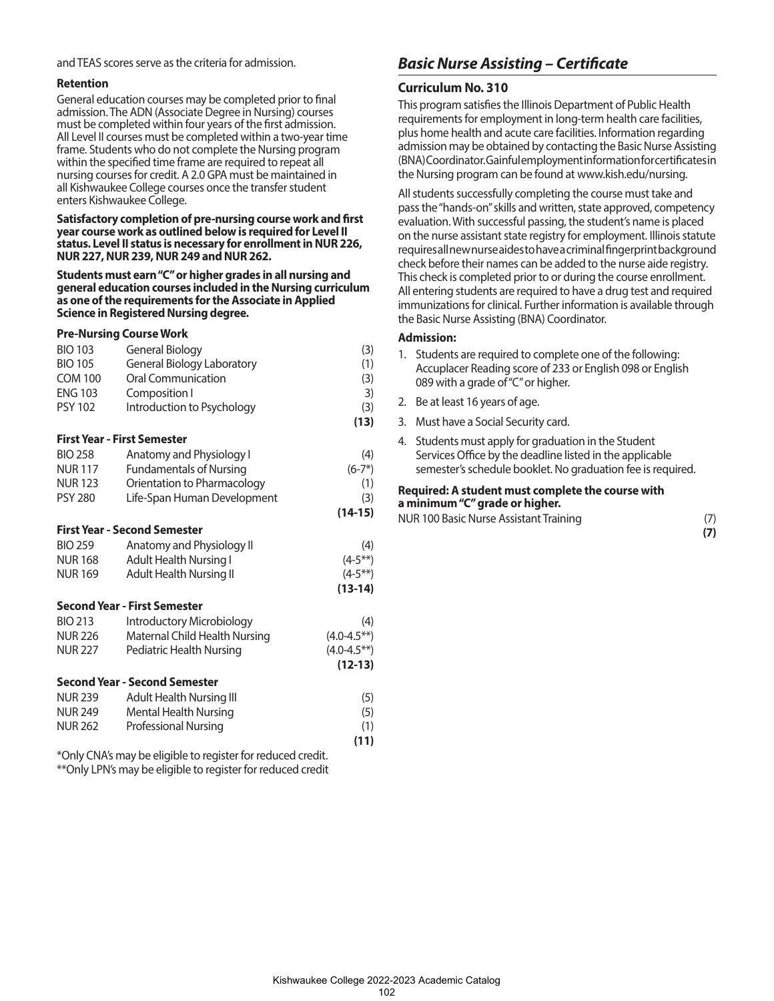and TEAS scores serve as the criteria for admission.

#### **Retention**

General education courses may be completed prior to final admission. The ADN (Associate Degree in Nursing) courses must be completed within four years of the first admission. All Level II courses must be completed within a two-year time frame. Students who do not complete the Nursing program within the specified time frame are required to repeat all nursing courses for credit. A 2.0 GPA must be maintained in all Kishwaukee College courses once the transfer student enters Kishwaukee College.

**Satisfactory completion of pre-nursing course work and first year course work as outlined below is required for Level II status. Level II status is necessary for enrollment in NUR 226, NUR 227, NUR 239, NUR 249 and NUR 262.**

**Students must earn "C" or higher grades in all nursing and general education courses included in the Nursing curriculum as one of the requirements for the Associate in Applied Science in Registered Nursing degree.** 

#### **Pre-Nursing Course Work**

| <b>BIO 103</b>                     | General Biology                      | (3)                |  |  |
|------------------------------------|--------------------------------------|--------------------|--|--|
| <b>BIO 105</b>                     | <b>General Biology Laboratory</b>    | (1)                |  |  |
| <b>COM 100</b>                     | <b>Oral Communication</b>            | (3)                |  |  |
| <b>ENG 103</b>                     | Composition I                        | 3)                 |  |  |
| <b>PSY 102</b>                     | Introduction to Psychology           | (3)                |  |  |
|                                    |                                      | (13)               |  |  |
| <b>First Year - First Semester</b> |                                      |                    |  |  |
| <b>BIO 258</b>                     | Anatomy and Physiology I             | (4)                |  |  |
| <b>NUR117</b>                      | <b>Fundamentals of Nursing</b>       | $(6-7*)$           |  |  |
| <b>NUR123</b>                      | Orientation to Pharmacology          | (1)                |  |  |
| <b>PSY 280</b>                     | Life-Span Human Development          | (3)                |  |  |
|                                    |                                      | $(14-15)$          |  |  |
|                                    | <b>First Year - Second Semester</b>  |                    |  |  |
| <b>BIO 259</b>                     | Anatomy and Physiology II            | (4)                |  |  |
| <b>NUR168</b>                      | <b>Adult Health Nursing I</b>        | $(4-5**)$          |  |  |
| <b>NUR169</b>                      | Adult Health Nursing II              | $(4-5**)$          |  |  |
|                                    |                                      | $(13-14)$          |  |  |
|                                    | <b>Second Year - First Semester</b>  |                    |  |  |
| <b>BIO 213</b>                     | Introductory Microbiology            | (4)                |  |  |
| NUR 226                            | Maternal Child Health Nursing        | $(4.0 - 4.5^{**})$ |  |  |
| <b>NUR 227</b>                     | Pediatric Health Nursing             | $(4.0 - 4.5**)$    |  |  |
|                                    |                                      | $(12-13)$          |  |  |
|                                    | <b>Second Year - Second Semester</b> |                    |  |  |
| <b>NUR 239</b>                     | Adult Health Nursing III             | (5)                |  |  |
| NUR 249                            | <b>Mental Health Nursing</b>         | (5)                |  |  |
| <b>NUR 262</b>                     | Professional Nursing                 | (1)                |  |  |
|                                    |                                      | (11)               |  |  |

\*Only CNA's may be eligible to register for reduced credit. \*\*Only LPN's may be eligible to register for reduced credit

## *Basic Nurse Assisting – Certificate*

#### **Curriculum No. 310**

This program satisfies the Illinois Department of Public Health requirements for employment in long-term health care facilities, plus home health and acute care facilities. Information regarding admission may be obtained by contacting the Basic Nurse Assisting (BNA) Coordinator. Gainful employment information for certificates in the Nursing program can be found at www.kish.edu/nursing.

All students successfully completing the course must take and pass the "hands-on" skills and written, state approved, competency evaluation. With successful passing, the student's name is placed on the nurse assistant state registry for employment. Illinois statute requires all new nurse aides to have a criminal fingerprint background check before their names can be added to the nurse aide registry. This check is completed prior to or during the course enrollment. All entering students are required to have a drug test and required immunizations for clinical. Further information is available through the Basic Nurse Assisting (BNA) Coordinator.

#### **Admission:**

- 1. Students are required to complete one of the following: Accuplacer Reading score of 233 or English 098 or English 089 with a grade of "C" or higher.
- 2. Be at least 16 years of age.
- 3. Must have a Social Security card.
- 4. Students must apply for graduation in the Student Services Office by the deadline listed in the applicable semester's schedule booklet. No graduation fee is required.

**Required: A student must complete the course with a minimum "C" grade or higher.**

NUR 100 Basic Nurse Assistant Training (7)

**(7)**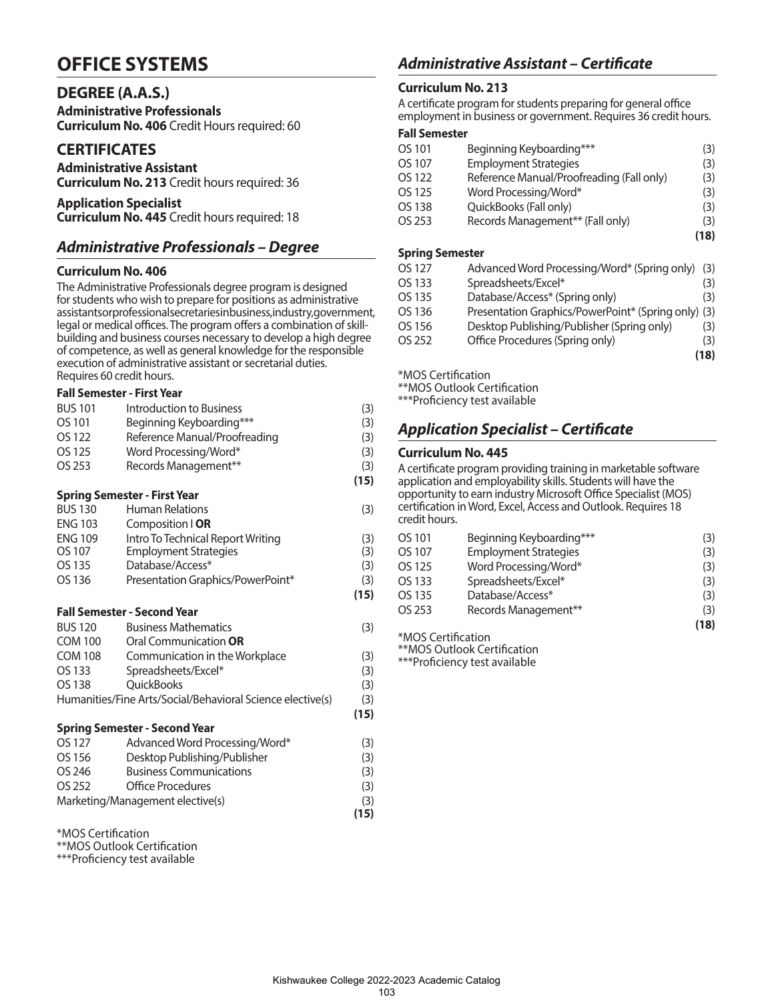## **OFFICE SYSTEMS**

## **DEGREE (A.A.S.)**

**Administrative Professionals Curriculum No. 406** Credit Hours required: 60

## **CERTIFICATES**

**Administrative Assistant Curriculum No. 213** Credit hours required: 36

**Application Specialist Curriculum No. 445** Credit hours required: 18

## *Administrative Professionals – Degree*

#### **Curriculum No. 406**

The Administrative Professionals degree program is designed for students who wish to prepare for positions as administrative assistants or professional secretaries in business, industry, government, legal or medical offices. The program offers a combination of skillbuilding and business courses necessary to develop a high degree of competence, as well as general knowledge for the responsible execution of administrative assistant or secretarial duties. Requires 60 credit hours.

#### **Fall Semester - First Year**

| <b>BUS 101</b> | Introduction to Business                                   | (3)  |
|----------------|------------------------------------------------------------|------|
| OS 101         | Beginning Keyboarding***                                   | (3)  |
| OS 122         | Reference Manual/Proofreading                              | (3)  |
| OS 125         | Word Processing/Word*                                      | (3)  |
| OS 253         | Records Management**                                       | (3)  |
|                |                                                            | (15) |
|                | <b>Spring Semester - First Year</b>                        |      |
| <b>BUS 130</b> | <b>Human Relations</b>                                     | (3)  |
| <b>ENG 103</b> | Composition   OR                                           |      |
| <b>ENG 109</b> | Intro To Technical Report Writing                          | (3)  |
| OS 107         | <b>Employment Strategies</b>                               | (3)  |
| OS 135         | Database/Access*                                           | (3)  |
| OS 136         | Presentation Graphics/PowerPoint*                          | (3)  |
|                |                                                            | (15) |
|                | <b>Fall Semester - Second Year</b>                         |      |
| <b>BUS 120</b> | <b>Business Mathematics</b>                                | (3)  |
| <b>COM 100</b> | Oral Communication <b>OR</b>                               |      |
| <b>COM 108</b> | Communication in the Workplace                             | (3)  |
| OS 133         | Spreadsheets/Excel*                                        | (3)  |
| OS 138         | <b>OuickBooks</b>                                          | (3)  |
|                | Humanities/Fine Arts/Social/Behavioral Science elective(s) | (3)  |
|                |                                                            | (15) |
|                | <b>Spring Semester - Second Year</b>                       |      |
| OS 127         | Advanced Word Processing/Word*                             | (3)  |
| OS 156         | Desktop Publishing/Publisher                               | (3)  |
| OS 246         | <b>Business Communications</b>                             | (3)  |
| OS 252         | Office Procedures                                          | (3)  |
|                | Marketing/Management elective(s)                           | (3)  |
|                |                                                            | (15) |
|                |                                                            |      |

\*MOS Certification

\*\*MOS Outlook Certification

\*\*\*Proficiency test available

## *Administrative Assistant – Certificate*

### **Curriculum No. 213**

A certificate program for students preparing for general office employment in business or government. Requires 36 credit hours.

#### **Fall Semester**

| OS 101 | Beginning Keyboarding***                  | (3)  |
|--------|-------------------------------------------|------|
| OS 107 | <b>Employment Strategies</b>              | (3)  |
| OS 122 | Reference Manual/Proofreading (Fall only) | (3)  |
| OS 125 | Word Processing/Word*                     | (3)  |
| OS 138 | QuickBooks (Fall only)                    | (3)  |
| OS 253 | Records Management** (Fall only)          | (3)  |
|        |                                           | (18) |
|        |                                           |      |

#### **Spring Semester**

| OS 127 | Advanced Word Processing/Word* (Spring only)        | (3)  |
|--------|-----------------------------------------------------|------|
| OS 133 | Spreadsheets/Excel*                                 | (3)  |
| OS 135 | Database/Access* (Spring only)                      | (3)  |
| OS 136 | Presentation Graphics/PowerPoint* (Spring only) (3) |      |
| OS 156 | Desktop Publishing/Publisher (Spring only)          | (3)  |
| OS 252 | Office Procedures (Spring only)                     | (3)  |
|        |                                                     | (18) |
|        |                                                     |      |

\*MOS Certification

\*\*MOS Outlook Certification

\*\*\*Proficiency test available

## *Application Specialist – Certificate*

#### **Curriculum No. 445**

A certificate program providing training in marketable software application and employability skills. Students will have the opportunity to earn industry Microsoft Office Specialist (MOS) certification in Word, Excel, Access and Outlook. Requires 18 credit hours.

| OS 101 | Beginning Keyboarding***     | (3)  |
|--------|------------------------------|------|
| OS 107 | <b>Employment Strategies</b> | (3)  |
| OS 125 | Word Processing/Word*        | (3)  |
| OS 133 | Spreadsheets/Excel*          | (3)  |
| OS 135 | Database/Access*             | (3)  |
| OS 253 | Records Management**         | (3)  |
|        |                              | (18) |

\*MOS Certification

\*\*MOS Outlook Certification

\*\*\*Proficiency test available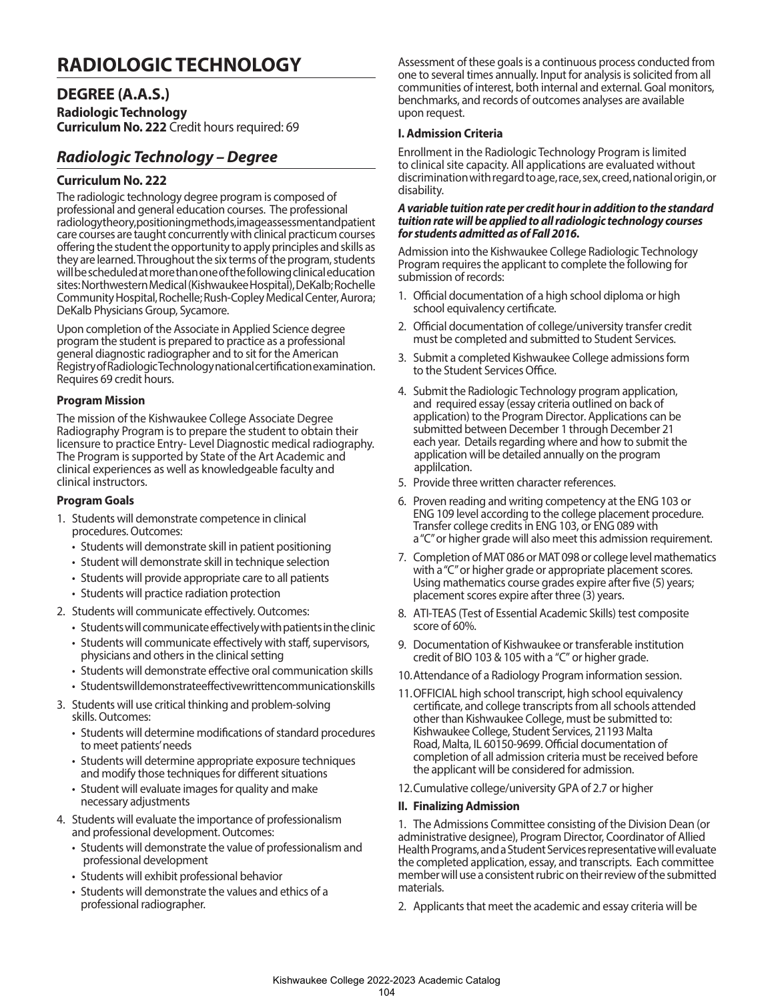## **RADIOLOGIC TECHNOLOGY**

## **DEGREE (A.A.S.)**

**Radiologic Technology Curriculum No. 222** Credit hours required: 69

## *Radiologic Technology – Degree*

#### **Curriculum No. 222**

The radiologic technology degree program is composed of professional and general education courses. The professional radiology theory, positioning methods, image assessment and patient care courses are taught concurrently with clinical practicum courses offering the student the opportunity to apply principles and skills as they are learned. Throughout the six terms of the program, students will be scheduled at more than one of the following clinical education sites: Northwestern Medical (Kishwaukee Hospital), DeKalb; Rochelle Community Hospital, Rochelle; Rush-Copley Medical Center, Aurora; DeKalb Physicians Group, Sycamore.

Upon completion of the Associate in Applied Science degree program the student is prepared to practice as a professional general diagnostic radiographer and to sit for the American Registry of Radiologic Technology national certification examination. Requires 69 credit hours.

#### **Program Mission**

The mission of the Kishwaukee College Associate Degree Radiography Program is to prepare the student to obtain their licensure to practice Entry- Level Diagnostic medical radiography. The Program is supported by State of the Art Academic and clinical experiences as well as knowledgeable faculty and clinical instructors.

#### **Program Goals**

- 1. Students will demonstrate competence in clinical procedures. Outcomes:
	- Students will demonstrate skill in patient positioning
	- Student will demonstrate skill in technique selection
	- Students will provide appropriate care to all patients
	- Students will practice radiation protection
- 2. Students will communicate effectively. Outcomes:
	- Students will communicate effectively with patients in the clinic
	- Students will communicate effectively with staff, supervisors, physicians and others in the clinical setting
	- Students will demonstrate effective oral communication skills
	- Students will demonstrate effective written communication skills
- 3. Students will use critical thinking and problem-solving skills. Outcomes:
	- Students will determine modifications of standard procedures to meet patients' needs
	- Students will determine appropriate exposure techniques and modify those techniques for different situations
	- Student will evaluate images for quality and make necessary adjustments
- 4. Students will evaluate the importance of professionalism and professional development. Outcomes:
	- Students will demonstrate the value of professionalism and professional development
	- Students will exhibit professional behavior
	- Students will demonstrate the values and ethics of a professional radiographer.

Assessment of these goals is a continuous process conducted from one to several times annually. Input for analysis is solicited from all communities of interest, both internal and external. Goal monitors, benchmarks, and records of outcomes analyses are available upon request.

#### **I. Admission Criteria**

Enrollment in the Radiologic Technology Program is limited to clinical site capacity. All applications are evaluated without discrimination with regard to age, race, sex, creed, national origin, or disability.

#### *A variable tuition rate per credit hour in addition to the standard tuition rate will be applied to all radiologic technology courses for students admitted as of Fall 2016.*

Admission into the Kishwaukee College Radiologic Technology Program requires the applicant to complete the following for submission of records:

- 1. Official documentation of a high school diploma or high school equivalency certificate.
- 2. Official documentation of college/university transfer credit must be completed and submitted to Student Services.
- 3. Submit a completed Kishwaukee College admissions form to the Student Services Office.
- 4. Submit the Radiologic Technology program application, and required essay (essay criteria outlined on back of application) to the Program Director. Applications can be submitted between December 1 through December 21 each year. Details regarding where and how to submit the application will be detailed annually on the program applilcation.
- 5. Provide three written character references.
- 6. Proven reading and writing competency at the ENG 103 or ENG 109 level according to the college placement procedure. Transfer college credits in ENG 103, or ENG 089 with a "C" or higher grade will also meet this admission requirement.
- 7. Completion of MAT 086 or MAT 098 or college level mathematics with a "C" or higher grade or appropriate placement scores. Using mathematics course grades expire after five (5) years; placement scores expire after three (3) years.
- 8. ATI-TEAS (Test of Essential Academic Skills) test composite score of 60%.
- 9. Documentation of Kishwaukee or transferable institution credit of BIO 103 & 105 with a "C" or higher grade.
- 10.Attendance of a Radiology Program information session.
- 11.OFFICIAL high school transcript, high school equivalency certificate, and college transcripts from all schools attended other than Kishwaukee College, must be submitted to: Kishwaukee College, Student Services, 21193 Malta Road, Malta, IL 60150-9699. Official documentation of completion of all admission criteria must be received before the applicant will be considered for admission.
- 12.Cumulative college/university GPA of 2.7 or higher

#### **II. Finalizing Admission**

1. The Admissions Committee consisting of the Division Dean (or administrative designee), Program Director, Coordinator of Allied Health Programs, and a Student Services representative will evaluate the completed application, essay, and transcripts. Each committee member will use a consistent rubric on their review of the submitted materials.

2. Applicants that meet the academic and essay criteria will be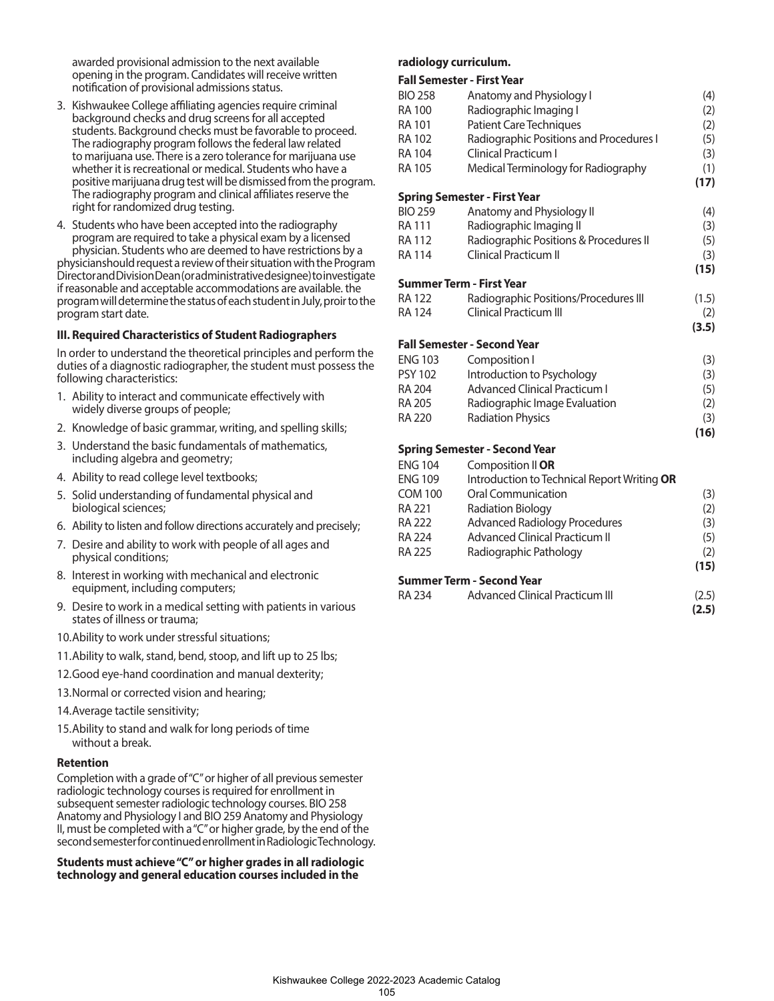awarded provisional admission to the next available opening in the program. Candidates will receive written notification of provisional admissions status.

- 3. Kishwaukee College affiliating agencies require criminal background checks and drug screens for all accepted students. Background checks must be favorable to proceed. The radiography program follows the federal law related to marijuana use. There is a zero tolerance for marijuana use whether it is recreational or medical. Students who have a positive marijuana drug test will be dismissed from the program. The radiography program and clinical affiliates reserve the right for randomized drug testing.
- 4. Students who have been accepted into the radiography program are required to take a physical exam by a licensed

physician. Students who are deemed to have restrictions by a physicianshould request a review of their situation with the Program Director and Division Dean (or administrative designee) to investigate if reasonable and acceptable accommodations are available. the program will determine the status of each student in July, proir to the program start date.

#### **III. Required Characteristics of Student Radiographers**

In order to understand the theoretical principles and perform the duties of a diagnostic radiographer, the student must possess the following characteristics:

- 1. Ability to interact and communicate effectively with widely diverse groups of people;
- 2. Knowledge of basic grammar, writing, and spelling skills;
- 3. Understand the basic fundamentals of mathematics, including algebra and geometry;
- 4. Ability to read college level textbooks;
- 5. Solid understanding of fundamental physical and biological sciences;
- 6. Ability to listen and follow directions accurately and precisely;
- 7. Desire and ability to work with people of all ages and physical conditions;
- 8. Interest in working with mechanical and electronic equipment, including computers;
- 9. Desire to work in a medical setting with patients in various states of illness or trauma;
- 10.Ability to work under stressful situations;
- 11.Ability to walk, stand, bend, stoop, and lift up to 25 lbs;
- 12.Good eye-hand coordination and manual dexterity;
- 13.Normal or corrected vision and hearing;
- 14.Average tactile sensitivity;
- 15.Ability to stand and walk for long periods of time without a break.

#### **Retention**

Completion with a grade of "C" or higher of all previous semester radiologic technology courses is required for enrollment in subsequent semester radiologic technology courses. BIO 258 Anatomy and Physiology I and BIO 259 Anatomy and Physiology II, must be completed with a "C" or higher grade, by the end of the second semester for continued enrollment in Radiologic Technology.

#### **Students must achieve "C" or higher grades in all radiologic technology and general education courses included in the**

#### **radiology curriculum.**

#### **Fall Semester - First Year**

|                | ו מוו אכוווראנכו - ו וואג וכמו              |       |
|----------------|---------------------------------------------|-------|
| <b>BIO 258</b> | Anatomy and Physiology I                    | (4)   |
| RA 100         | Radiographic Imaging I                      | (2)   |
| <b>RA 101</b>  | <b>Patient Care Techniques</b>              | (2)   |
| <b>RA 102</b>  | Radiographic Positions and Procedures I     | (5)   |
| RA 104         | Clinical Practicum I                        | (3)   |
| RA 105         | Medical Terminology for Radiography         | (1)   |
|                |                                             | (17)  |
|                | <b>Spring Semester - First Year</b>         |       |
| <b>BIO 259</b> | Anatomy and Physiology II                   | (4)   |
| RA 111         | Radiographic Imaging II                     | (3)   |
| RA 112         | Radiographic Positions & Procedures II      | (5)   |
| <b>RA 114</b>  | <b>Clinical Practicum II</b>                | (3)   |
|                |                                             | (15)  |
|                | Summer Term - First Year                    |       |
| <b>RA 122</b>  | Radiographic Positions/Procedures III       | (1.5) |
| RA 124         | <b>Clinical Practicum III</b>               | (2)   |
|                |                                             | (3.5) |
|                | Fall Semester - Second Year                 |       |
| <b>ENG 103</b> | Composition I                               | (3)   |
| <b>PSY 102</b> | Introduction to Psychology                  | (3)   |
| RA 204         | <b>Advanced Clinical Practicum I</b>        | (5)   |
| <b>RA 205</b>  | Radiographic Image Evaluation               | (2)   |
| <b>RA 220</b>  | <b>Radiation Physics</b>                    | (3)   |
|                |                                             | (16)  |
|                | <b>Spring Semester - Second Year</b>        |       |
| <b>ENG 104</b> | Composition II OR                           |       |
| <b>ENG 109</b> | Introduction to Technical Report Writing OR |       |
| <b>COM 100</b> | Oral Communication                          | (3)   |
| RA 221         | <b>Radiation Biology</b>                    | (2)   |
| RA 222         | <b>Advanced Radiology Procedures</b>        | (3)   |

#### **(15) Summer Term - Second Year**

| <b>RA 234</b> | <b>Advanced Clinical Practicum III</b> | (2.5) |
|---------------|----------------------------------------|-------|
|               |                                        | (2.5) |

RA 224 Advanced Clinical Practicum II (5) RA 225 Radiographic Pathology (2)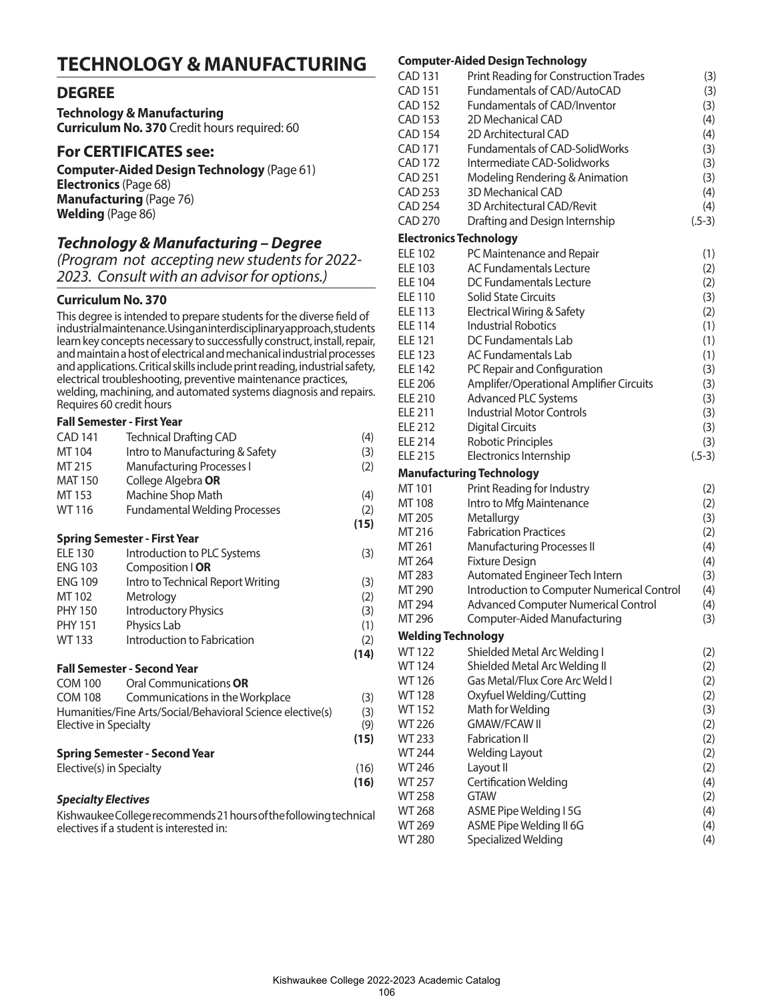## **TECHNOLOGY & MANUFACTURING**

## **DEGREE**

**Technology & Manufacturing Curriculum No. 370** Credit hours required: 60

### **For CERTIFICATES see:**

**Computer-Aided Design Technology** (Page 61) **Electronics** (Page 68) **Manufacturing** (Page 76) **Welding** (Page 86)

## *Technology & Manufacturing – Degree*

*(Program not accepting new students for 2022- 2023. Consult with an advisor for options.)*

### **Curriculum No. 370**

This degree is intended to prepare students for the diverse field of industrial maintenance. Using an interdisciplinary approach, students learn key concepts necessary to successfully construct, install, repair, and maintain a host of electrical and mechanical industrial processes and applications. Critical skills include print reading, industrial safety, electrical troubleshooting, preventive maintenance practices, welding, machining, and automated systems diagnosis and repairs. Requires 60 credit hours

#### **Fall Semester - First Year**

| <b>CAD 141</b>           | <b>Technical Drafting CAD</b>                              | (4)  |
|--------------------------|------------------------------------------------------------|------|
| MT 104                   | Intro to Manufacturing & Safety                            | (3)  |
| MT 215                   | <b>Manufacturing Processes I</b>                           | (2)  |
| <b>MAT 150</b>           | College Algebra OR                                         |      |
| MT 153                   | Machine Shop Math                                          | (4)  |
| WT 116                   | <b>Fundamental Welding Processes</b>                       | (2)  |
|                          |                                                            | (15) |
|                          | <b>Spring Semester - First Year</b>                        |      |
| <b>ELE 130</b>           |                                                            |      |
| <b>ENG 103</b>           | Introduction to PLC Systems                                | (3)  |
|                          | Composition   OR                                           |      |
| <b>ENG 109</b>           | Intro to Technical Report Writing                          | (3)  |
| MT 102                   | Metrology                                                  | (2)  |
| <b>PHY 150</b>           | <b>Introductory Physics</b>                                | (3)  |
| <b>PHY 151</b>           | Physics Lab                                                | (1)  |
| <b>WT133</b>             | Introduction to Fabrication                                | (2)  |
|                          |                                                            | (14) |
|                          | <b>Fall Semester - Second Year</b>                         |      |
| <b>COM 100</b>           | Oral Communications OR                                     |      |
| COM 108                  | Communications in the Workplace                            | (3)  |
|                          | Humanities/Fine Arts/Social/Behavioral Science elective(s) | (3)  |
| Elective in Specialty    |                                                            | (9)  |
|                          |                                                            | (15) |
|                          | <b>Spring Semester - Second Year</b>                       |      |
| Elective(s) in Specialty |                                                            | (16) |
|                          |                                                            | (16) |
| .                        |                                                            |      |

#### *Specialty Electives*

Kishwaukee College recommends 21 hours of the following technical electives if a student is interested in:

#### **Computer-Aided Design Technology**

|                               | Computer-Alded Design Technology           |          |
|-------------------------------|--------------------------------------------|----------|
| <b>CAD 131</b>                | Print Reading for Construction Trades      | (3)      |
| <b>CAD 151</b>                | Fundamentals of CAD/AutoCAD                | (3)      |
| <b>CAD 152</b>                | <b>Fundamentals of CAD/Inventor</b>        | (3)      |
| <b>CAD 153</b>                | 2D Mechanical CAD                          | (4)      |
| <b>CAD 154</b>                | 2D Architectural CAD                       | (4)      |
| CAD 171                       | <b>Fundamentals of CAD-SolidWorks</b>      | (3)      |
| CAD 172                       | Intermediate CAD-Solidworks                | (3)      |
| <b>CAD 251</b>                | Modeling Rendering & Animation             | (3)      |
| CAD 253                       | <b>3D Mechanical CAD</b>                   | (4)      |
| <b>CAD 254</b>                | <b>3D Architectural CAD/Revit</b>          | (4)      |
| <b>CAD 270</b>                | Drafting and Design Internship             | $(.5-3)$ |
| <b>Electronics Technology</b> |                                            |          |
| <b>ELE 102</b>                | PC Maintenance and Repair                  | (1)      |
| <b>ELE 103</b>                | <b>AC Fundamentals Lecture</b>             | (2)      |
| <b>ELE 104</b>                | DC Fundamentals Lecture                    | (2)      |
| <b>ELE 110</b>                | <b>Solid State Circuits</b>                | (3)      |
| <b>ELE 113</b>                | Electrical Wiring & Safety                 | (2)      |
| <b>ELE 114</b>                | <b>Industrial Robotics</b>                 | (1)      |
| <b>ELE 121</b>                | DC Fundamentals Lab                        | (1)      |
| <b>ELE 123</b>                | <b>AC Fundamentals Lab</b>                 | (1)      |
| <b>ELE 142</b>                | PC Repair and Configuration                | (3)      |
| <b>ELE 206</b>                | Amplifer/Operational Amplifier Circuits    | (3)      |
| <b>ELE 210</b>                | <b>Advanced PLC Systems</b>                | (3)      |
| <b>ELE 211</b>                | <b>Industrial Motor Controls</b>           | (3)      |
| <b>ELE 212</b>                | <b>Digital Circuits</b>                    | (3)      |
| <b>ELE 214</b>                | <b>Robotic Principles</b>                  | (3)      |
| <b>ELE 215</b>                | Electronics Internship                     | $(.5-3)$ |
|                               | <b>Manufacturing Technology</b>            |          |
| MT 101                        | Print Reading for Industry                 | (2)      |
| MT 108                        | Intro to Mfg Maintenance                   | (2)      |
| MT 205                        | Metallurgy                                 | (3)      |
| MT 216                        | <b>Fabrication Practices</b>               | (2)      |
| MT 261                        | <b>Manufacturing Processes II</b>          | (4)      |
| MT 264                        | <b>Fixture Design</b>                      | (4)      |
| MT 283                        | Automated Engineer Tech Intern             | (3)      |
| MT 290                        | Introduction to Computer Numerical Control | (4)      |
| MT 294                        | <b>Advanced Computer Numerical Control</b> | (4)      |
| MT 296                        | Computer-Aided Manufacturing               | (3)      |
| <b>Welding Technology</b>     |                                            |          |
| <b>WT122</b>                  | Shielded Metal Arc Welding I               | (2)      |
| <b>WT124</b>                  | Shielded Metal Arc Welding II              | (2)      |
| WT 126                        | Gas Metal/Flux Core Arc Weld I             | (2)      |
| <b>WT128</b>                  | Oxyfuel Welding/Cutting                    | (2)      |
| <b>WT152</b>                  | Math for Welding                           | (3)      |
| <b>WT 226</b>                 | <b>GMAW/FCAW II</b>                        | (2)      |
| WT 233                        | <b>Fabrication II</b>                      | (2)      |
| WT 244                        | <b>Welding Layout</b>                      | (2)      |
| WT 246                        | Layout II                                  | (2)      |
| WT 257                        | Certification Welding                      | (4)      |
| <b>WT 258</b>                 | gtaw                                       | (2)      |
| <b>WT 268</b>                 | ASME Pipe Welding I 5G                     | (4)      |
| WT 269                        | ASME Pipe Welding II 6G                    | (4)      |
| <b>WT 280</b>                 | Specialized Welding                        | (4)      |
|                               |                                            |          |